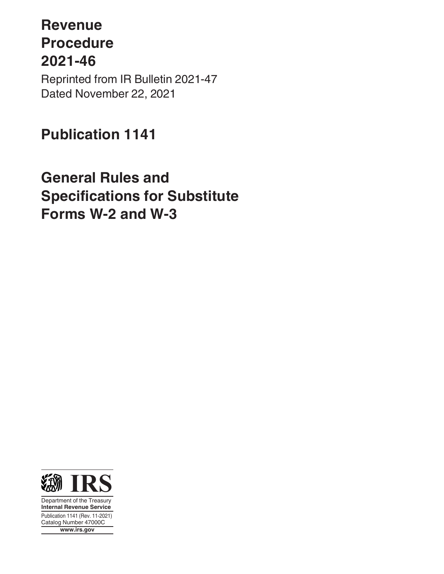## **Revenue Procedure 2021-46** Reprinted from IR Bulletin 2021-47

Dated November 22, 2021

## **Publication 1141**

## **General Rules and Specifications for Substitute Forms W-2 and W-3**



Department of the Treasury **Internal Revenue Service** Publication 1141 (Rev. 11-2021) Catalog Number 47000C **www.irs.gov**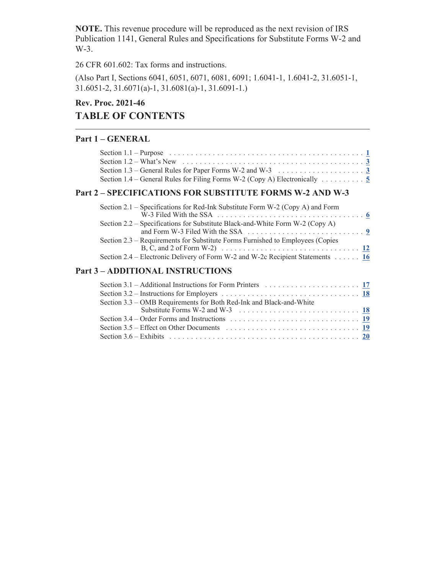**NOTE.** This revenue procedure will be reproduced as the next revision of IRS Publication 1141, General Rules and Specifications for Substitute Forms W-2 and W-3.

26 CFR 601.602: Tax forms and instructions.

(Also Part I, Sections 6041, 6051, 6071, 6081, 6091; 1.6041-1, 1.6041-2, 31.6051-1, 31.6051-2, 31.6071(a)-1, 31.6081(a)-1, 31.6091-1.)

### **Rev. Proc. 2021-46 TABLE OF CONTENTS**

#### **Part 1 – GENERAL**

| Section 1.2 – What's New $\ldots$ and $\ldots$ is a section of $\ldots$ is a section of $\ldots$ is a section of $\ldots$ |  |
|---------------------------------------------------------------------------------------------------------------------------|--|
| Section 1.3 – General Rules for Paper Forms W-2 and W-3 $\ldots \ldots \ldots \ldots \ldots \ldots$                       |  |
| Section 1.4 – General Rules for Filing Forms W-2 (Copy A) Electronically $\ldots \ldots \ldots$                           |  |
| $\gamma$ specific ations for superiture forms $W \gamma$ and $W \gamma$                                                   |  |

#### **Part 2 – SPECIFICATIONS FOR SUBSTITUTE FORMS W-2 AND W-3**

| Section 2.1 – Specifications for Red-Ink Substitute Form W-2 (Copy A) and Form                                                                                                                                 |  |
|----------------------------------------------------------------------------------------------------------------------------------------------------------------------------------------------------------------|--|
|                                                                                                                                                                                                                |  |
| Section 2.2 – Specifications for Substitute Black-and-White Form W-2 (Copy A)                                                                                                                                  |  |
| Section 2.3 – Requirements for Substitute Forms Furnished to Employees (Copies<br>B, C, and 2 of Form W-2) $\ldots \ldots \ldots \ldots \ldots \ldots \ldots \ldots \ldots \ldots \ldots \ldots \frac{12}{12}$ |  |
| Section 2.4 – Electronic Delivery of Form W-2 and W-2c Recipient Statements 16                                                                                                                                 |  |

#### **Part 3 – ADDITIONAL INSTRUCTIONS**

| Section 3.1 – Additional Instructions for Form Printers $\ldots \ldots \ldots \ldots \ldots \ldots \ldots$             |  |
|------------------------------------------------------------------------------------------------------------------------|--|
|                                                                                                                        |  |
| Section 3.3 – OMB Requirements for Both Red-Ink and Black-and-White                                                    |  |
| Substitute Forms W-2 and W-3 $\ldots \ldots \ldots \ldots \ldots \ldots \ldots \ldots \ldots \ldots$                   |  |
| Section 3.4 – Order Forms and Instructions $\ldots \ldots \ldots \ldots \ldots \ldots \ldots \ldots \ldots \ldots$     |  |
| Section 3.5 – Effect on Other Documents $\ldots \ldots \ldots \ldots \ldots \ldots \ldots \ldots \ldots \frac{19}{19}$ |  |
|                                                                                                                        |  |
|                                                                                                                        |  |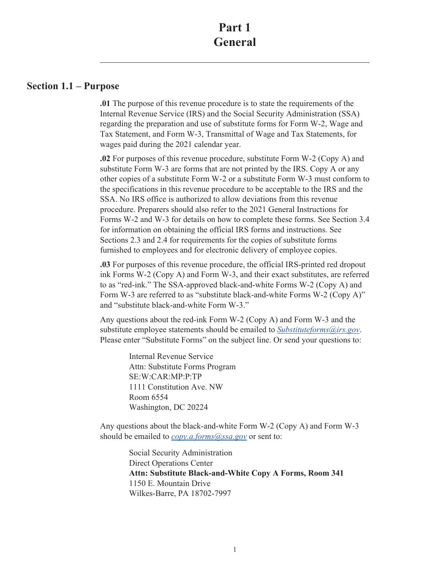#### <span id="page-2-0"></span>**Section 1.1 – Purpose**

**.01** The purpose of this revenue procedure is to state the requirements of the Internal Revenue Service (IRS) and the Social Security Administration (SSA) regarding the preparation and use of substitute forms for Form W-2, Wage and Tax Statement, and Form W-3, Transmittal of Wage and Tax Statements, for wages paid during the 2021 calendar year.

**.02** For purposes of this revenue procedure, substitute Form W-2 (Copy A) and substitute Form W-3 are forms that are not printed by the IRS. Copy A or any other copies of a substitute Form W-2 or a substitute Form W-3 must conform to the specifications in this revenue procedure to be acceptable to the IRS and the SSA. No IRS office is authorized to allow deviations from this revenue procedure. Preparers should also refer to the 2021 General Instructions for Forms W-2 and W-3 for details on how to complete these forms. See Section 3.4 for information on obtaining the official IRS forms and instructions. See Sections 2.3 and 2.4 for requirements for the copies of substitute forms furnished to employees and for electronic delivery of employee copies.

**.03** For purposes of this revenue procedure, the official IRS-printed red dropout ink Forms W-2 (Copy A) and Form W-3, and their exact substitutes, are referred to as "red-ink." The SSA-approved black-and-white Forms W-2 (Copy A) and Form W-3 are referred to as "substitute black-and-white Forms W-2 (Copy A)" and "substitute black-and-white Form W-3."

Any questions about the red-ink Form W-2 (Copy A) and Form W-3 and the substitute employee statements should be emailed to *[Substituteforms@irs.gov](mailto:Substituteforms@irs.gov)*. Please enter "Substitute Forms" on the subject line. Or send your questions to:

> Internal Revenue Service Attn: Substitute Forms Program SE:W:CAR:MP:P:TP 1111 Constitution Ave. NW Room 6554 Washington, DC 20224

Any questions about the black-and-white Form W-2 (Copy A) and Form W-3 should be emailed to *[copy.a.forms@ssa.gov](mailto:copy.a.forms@ssa.gov)* or sent to:

> Social Security Administration Direct Operations Center **Attn: Substitute Black-and-White Copy A Forms, Room 341** 1150 E. Mountain Drive Wilkes-Barre, PA 18702-7997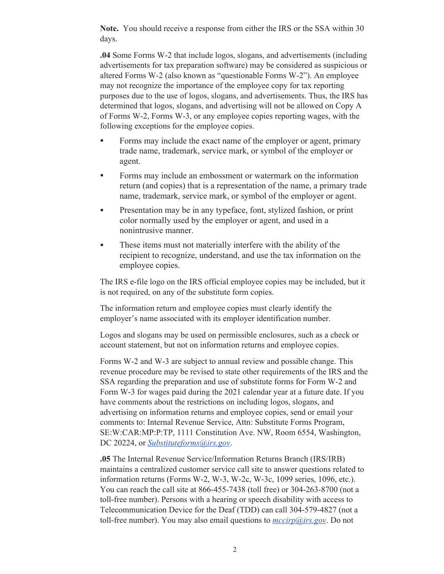**Note.** You should receive a response from either the IRS or the SSA within 30 days.

**.04** Some Forms W-2 that include logos, slogans, and advertisements (including advertisements for tax preparation software) may be considered as suspicious or altered Forms W-2 (also known as "questionable Forms W-2"). An employee may not recognize the importance of the employee copy for tax reporting purposes due to the use of logos, slogans, and advertisements. Thus, the IRS has determined that logos, slogans, and advertising will not be allowed on Copy A of Forms W-2, Forms W-3, or any employee copies reporting wages, with the following exceptions for the employee copies.

- Forms may include the exact name of the employer or agent, primary trade name, trademark, service mark, or symbol of the employer or agent.
- Forms may include an embossment or watermark on the information return (and copies) that is a representation of the name, a primary trade name, trademark, service mark, or symbol of the employer or agent.
- Presentation may be in any typeface, font, stylized fashion, or print color normally used by the employer or agent, and used in a nonintrusive manner.
- These items must not materially interfere with the ability of the recipient to recognize, understand, and use the tax information on the employee copies.

The IRS e-file logo on the IRS official employee copies may be included, but it is not required, on any of the substitute form copies.

The information return and employee copies must clearly identify the employer's name associated with its employer identification number.

Logos and slogans may be used on permissible enclosures, such as a check or account statement, but not on information returns and employee copies.

Forms W-2 and W-3 are subject to annual review and possible change. This revenue procedure may be revised to state other requirements of the IRS and the SSA regarding the preparation and use of substitute forms for Form W-2 and Form W-3 for wages paid during the 2021 calendar year at a future date. If you have comments about the restrictions on including logos, slogans, and advertising on information returns and employee copies, send or email your comments to: Internal Revenue Service, Attn: Substitute Forms Program, SE:W:CAR:MP:P:TP, 1111 Constitution Ave. NW, Room 6554, Washington, DC 20224, or *[Substituteforms@irs.gov](mailto:Substituteforms@irs.gov)*.

**.05** The Internal Revenue Service/Information Returns Branch (IRS/IRB) maintains a centralized customer service call site to answer questions related to information returns (Forms W-2, W-3, W-2c, W-3c, 1099 series, 1096, etc.). You can reach the call site at 866-455-7438 (toll free) or 304-263-8700 (not a toll-free number). Persons with a hearing or speech disability with access to Telecommunication Device for the Deaf (TDD) can call 304-579-4827 (not a toll-free number). You may also email questions to *[mccirp@irs.gov](mailto:mccirp@irs.gov)*. Do not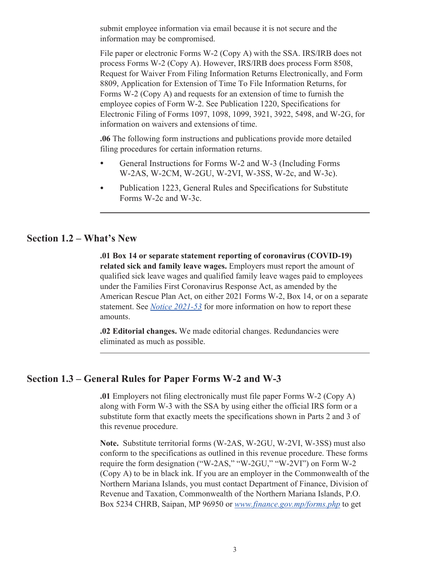<span id="page-4-0"></span>submit employee information via email because it is not secure and the information may be compromised.

File paper or electronic Forms W-2 (Copy A) with the SSA. IRS/IRB does not process Forms W-2 (Copy A). However, IRS/IRB does process Form 8508, Request for Waiver From Filing Information Returns Electronically, and Form 8809, Application for Extension of Time To File Information Returns, for Forms W-2 (Copy A) and requests for an extension of time to furnish the employee copies of Form W-2. See Publication 1220, Specifications for Electronic Filing of Forms 1097, 1098, 1099, 3921, 3922, 5498, and W-2G, for information on waivers and extensions of time.

**.06** The following form instructions and publications provide more detailed filing procedures for certain information returns.

- General Instructions for Forms W-2 and W-3 (Including Forms W-2AS, W-2CM, W-2GU, W-2VI, W-3SS, W-2c, and W-3c).
- Publication 1223, General Rules and Specifications for Substitute Forms W-2c and W-3c.

#### **Section 1.2 – What's New**

**.01 Box 14 or separate statement reporting of coronavirus (COVID-19) related sick and family leave wages.** Employers must report the amount of qualified sick leave wages and qualified family leave wages paid to employees under the Families First Coronavirus Response Act, as amended by the American Rescue Plan Act, on either 2021 Forms W-2, Box 14, or on a separate statement. See *[Notice 2021-53](https://www.irs.gov/irb/2021-39_IRB#RP-2021-39)* for more information on how to report these amounts.

**.02 Editorial changes.** We made editorial changes. Redundancies were eliminated as much as possible.

#### **Section 1.3 – General Rules for Paper Forms W-2 and W-3**

**.01** Employers not filing electronically must file paper Forms W-2 (Copy A) along with Form W-3 with the SSA by using either the official IRS form or a substitute form that exactly meets the specifications shown in Parts 2 and 3 of this revenue procedure.

**Note.** Substitute territorial forms (W-2AS, W-2GU, W-2VI, W-3SS) must also conform to the specifications as outlined in this revenue procedure. These forms require the form designation ("W-2AS," "W-2GU," "W-2VI") on Form W-2 (Copy A) to be in black ink. If you are an employer in the Commonwealth of the Northern Mariana Islands, you must contact Department of Finance, Division of Revenue and Taxation, Commonwealth of the Northern Mariana Islands, P.O. Box 5234 CHRB, Saipan, MP 96950 or *[www.finance.gov.mp/forms.php](https://www.finance.gov.mp/forms.php)* to get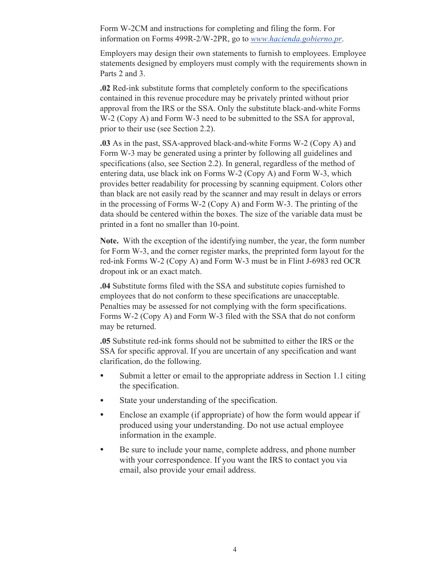Form W-2CM and instructions for completing and filing the form. For information on Forms 499R-2/W-2PR, go to *[www.hacienda.gobierno.pr](http://www.hacienda.gobierno.pr/)*.

Employers may design their own statements to furnish to employees. Employee statements designed by employers must comply with the requirements shown in Parts 2 and 3.

**.02** Red-ink substitute forms that completely conform to the specifications contained in this revenue procedure may be privately printed without prior approval from the IRS or the SSA. Only the substitute black-and-white Forms W-2 (Copy A) and Form W-3 need to be submitted to the SSA for approval, prior to their use (see Section 2.2).

**.03** As in the past, SSA-approved black-and-white Forms W-2 (Copy A) and Form W-3 may be generated using a printer by following all guidelines and specifications (also, see Section 2.2). In general, regardless of the method of entering data, use black ink on Forms W-2 (Copy A) and Form W-3, which provides better readability for processing by scanning equipment. Colors other than black are not easily read by the scanner and may result in delays or errors in the processing of Forms W-2 (Copy A) and Form W-3. The printing of the data should be centered within the boxes. The size of the variable data must be printed in a font no smaller than 10-point.

**Note.** With the exception of the identifying number, the year, the form number for Form W-3, and the corner register marks, the preprinted form layout for the red-ink Forms W-2 (Copy A) and Form W-3 must be in Flint J-6983 red OCR dropout ink or an exact match.

**.04** Substitute forms filed with the SSA and substitute copies furnished to employees that do not conform to these specifications are unacceptable. Penalties may be assessed for not complying with the form specifications. Forms W-2 (Copy A) and Form W-3 filed with the SSA that do not conform may be returned.

**.05** Substitute red-ink forms should not be submitted to either the IRS or the SSA for specific approval. If you are uncertain of any specification and want clarification, do the following.

- Submit a letter or email to the appropriate address in Section 1.1 citing the specification.
- State your understanding of the specification.
- Enclose an example (if appropriate) of how the form would appear if produced using your understanding. Do not use actual employee information in the example.
- Be sure to include your name, complete address, and phone number with your correspondence. If you want the IRS to contact you via email, also provide your email address.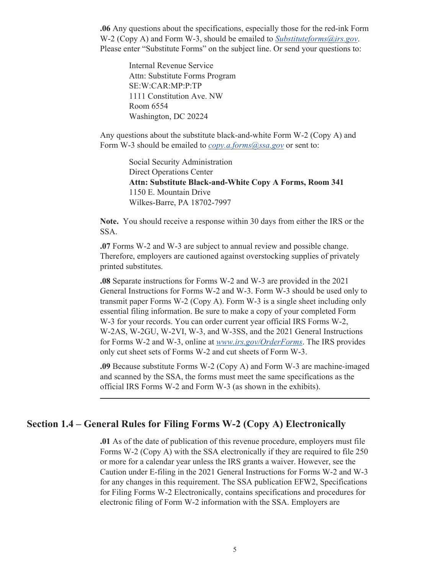<span id="page-6-0"></span>**.06** Any questions about the specifications, especially those for the red-ink Form W-2 (Copy A) and Form W-3, should be emailed to *[Substituteforms@irs.gov](mailto:Substituteforms@irs.gov)*. Please enter "Substitute Forms" on the subject line. Or send your questions to:

> Internal Revenue Service Attn: Substitute Forms Program SE:W:CAR:MP:P:TP 1111 Constitution Ave. NW Room 6554 Washington, DC 20224

Any questions about the substitute black-and-white Form W-2 (Copy A) and Form W-3 should be emailed to *[copy.a.forms@ssa.gov](mailto:copy.a.forms@ssa.gov)* or sent to:

> Social Security Administration Direct Operations Center **Attn: Substitute Black-and-White Copy A Forms, Room 341** 1150 E. Mountain Drive Wilkes-Barre, PA 18702-7997

**Note.** You should receive a response within 30 days from either the IRS or the SSA.

**.07** Forms W-2 and W-3 are subject to annual review and possible change. Therefore, employers are cautioned against overstocking supplies of privately printed substitutes.

**.08** Separate instructions for Forms W-2 and W-3 are provided in the 2021 General Instructions for Forms W-2 and W-3. Form W-3 should be used only to transmit paper Forms W-2 (Copy A). Form W-3 is a single sheet including only essential filing information. Be sure to make a copy of your completed Form W-3 for your records. You can order current year official IRS Forms W-2, W-2AS, W-2GU, W-2VI, W-3, and W-3SS, and the 2021 General Instructions for Forms W-2 and W-3, online at *[www.irs.gov/OrderForms](https://www.irs.gov/orderforms)*. The IRS provides only cut sheet sets of Forms W-2 and cut sheets of Form W-3.

**.09** Because substitute Forms W-2 (Copy A) and Form W-3 are machine-imaged and scanned by the SSA, the forms must meet the same specifications as the official IRS Forms W-2 and Form W-3 (as shown in the exhibits).

#### **Section 1.4 – General Rules for Filing Forms W-2 (Copy A) Electronically**

**.01** As of the date of publication of this revenue procedure, employers must file Forms W-2 (Copy A) with the SSA electronically if they are required to file 250 or more for a calendar year unless the IRS grants a waiver. However, see the Caution under E-filing in the 2021 General Instructions for Forms W-2 and W-3 for any changes in this requirement. The SSA publication EFW2, Specifications for Filing Forms W-2 Electronically, contains specifications and procedures for electronic filing of Form W-2 information with the SSA. Employers are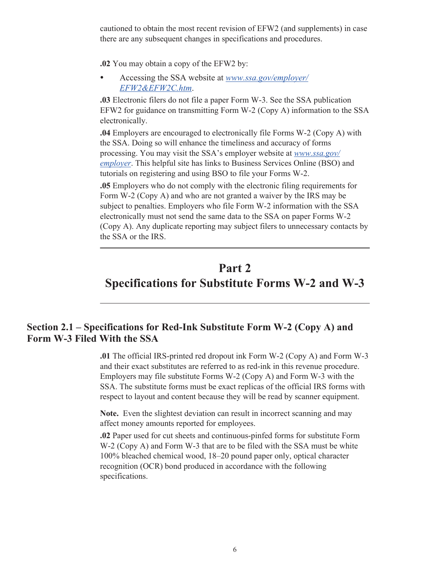<span id="page-7-0"></span>cautioned to obtain the most recent revision of EFW2 (and supplements) in case there are any subsequent changes in specifications and procedures.

**.02** You may obtain a copy of the EFW2 by:

• Accessing the SSA website at *[www.ssa.gov/employer/](https://www.ssa.gov/employer/EFW2&EFW2C.htm) [EFW2&EFW2C.htm](https://www.ssa.gov/employer/EFW2&EFW2C.htm)*.

**.03** Electronic filers do not file a paper Form W-3. See the SSA publication EFW2 for guidance on transmitting Form W-2 (Copy A) information to the SSA electronically.

**.04** Employers are encouraged to electronically file Forms W-2 (Copy A) with the SSA. Doing so will enhance the timeliness and accuracy of forms processing. You may visit the SSA's employer website at *[www.ssa.gov/](https://www.ssa.gov/employer) [employer](https://www.ssa.gov/employer)*. This helpful site has links to Business Services Online (BSO) and tutorials on registering and using BSO to file your Forms W-2.

**.05** Employers who do not comply with the electronic filing requirements for Form W-2 (Copy A) and who are not granted a waiver by the IRS may be subject to penalties. Employers who file Form W-2 information with the SSA electronically must not send the same data to the SSA on paper Forms W-2 (Copy A). Any duplicate reporting may subject filers to unnecessary contacts by the SSA or the IRS.

## **Part 2 Specifications for Substitute Forms W-2 and W-3**

### **Section 2.1 – Specifications for Red-Ink Substitute Form W-2 (Copy A) and Form W-3 Filed With the SSA**

**.01** The official IRS-printed red dropout ink Form W-2 (Copy A) and Form W-3 and their exact substitutes are referred to as red-ink in this revenue procedure. Employers may file substitute Forms W-2 (Copy A) and Form W-3 with the SSA. The substitute forms must be exact replicas of the official IRS forms with respect to layout and content because they will be read by scanner equipment.

**Note.** Even the slightest deviation can result in incorrect scanning and may affect money amounts reported for employees.

**.02** Paper used for cut sheets and continuous-pinfed forms for substitute Form W-2 (Copy A) and Form W-3 that are to be filed with the SSA must be white 100% bleached chemical wood, 18–20 pound paper only, optical character recognition (OCR) bond produced in accordance with the following specifications.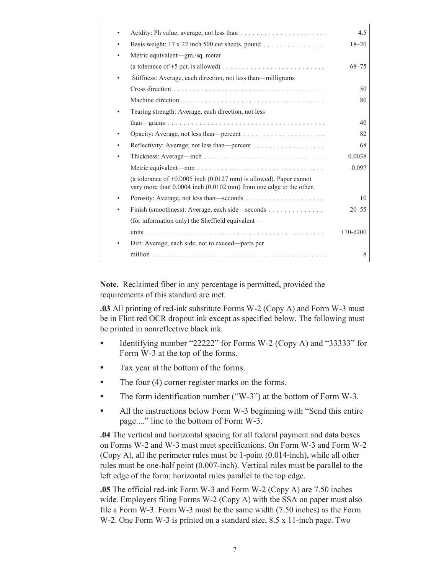|                                                                                                                                            | 4.5          |
|--------------------------------------------------------------------------------------------------------------------------------------------|--------------|
| Basis weight: 17 x 22 inch 500 cut sheets, pound                                                                                           | $18 - 20$    |
| Metric equivalent-gm./sq. meter                                                                                                            |              |
|                                                                                                                                            | $68 - 75$    |
| Stiffness: Average, each direction, not less than-milligrams                                                                               |              |
|                                                                                                                                            | 50           |
|                                                                                                                                            | 80           |
| Tearing strength: Average, each direction, not less                                                                                        |              |
|                                                                                                                                            | 40           |
|                                                                                                                                            | 82           |
|                                                                                                                                            | 68           |
|                                                                                                                                            | 0.0038       |
|                                                                                                                                            | 0.097        |
| (a tolerance of $+0.0005$ inch (0.0127 mm) is allowed). Paper cannot<br>vary more than 0.0004 inch (0.0102 mm) from one edge to the other. |              |
|                                                                                                                                            | 10           |
| Finish (smoothness): Average, each side—seconds                                                                                            | $20 - 55$    |
| (for information only) the Sheffield equivalent—                                                                                           |              |
|                                                                                                                                            | $170 - d200$ |
| Dirt: Average, each side, not to exceed—parts per                                                                                          |              |
|                                                                                                                                            | 8            |

**Note.** Reclaimed fiber in any percentage is permitted, provided the requirements of this standard are met.

**.03** All printing of red-ink substitute Forms W-2 (Copy A) and Form W-3 must be in Flint red OCR dropout ink except as specified below. The following must be printed in nonreflective black ink.

- Identifying number "22222" for Forms W-2 (Copy A) and "33333" for Form W-3 at the top of the forms.
- Tax year at the bottom of the forms.
- The four (4) corner register marks on the forms.
- The form identification number ("W-3") at the bottom of Form W-3.
- All the instructions below Form W-3 beginning with "Send this entire" page...." line to the bottom of Form W-3.

**.04** The vertical and horizontal spacing for all federal payment and data boxes on Forms W-2 and W-3 must meet specifications. On Form W-3 and Form W-2 (Copy A), all the perimeter rules must be 1-point (0.014-inch), while all other rules must be one-half point (0.007-inch). Vertical rules must be parallel to the left edge of the form; horizontal rules parallel to the top edge.

**.05** The official red-ink Form W-3 and Form W-2 (Copy A) are 7.50 inches wide. Employers filing Forms W-2 (Copy A) with the SSA on paper must also file a Form W-3. Form W-3 must be the same width (7.50 inches) as the Form W-2. One Form W-3 is printed on a standard size, 8.5 x 11-inch page. Two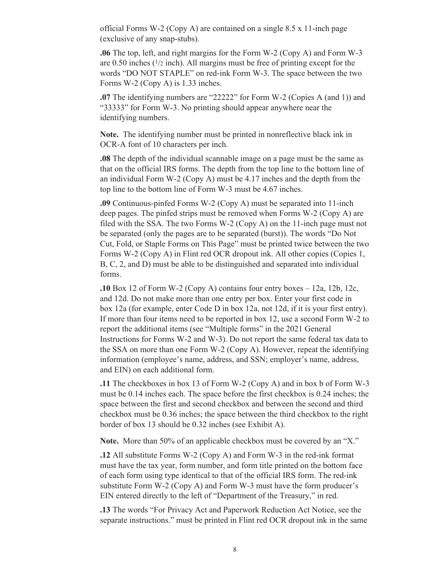official Forms W-2 (Copy A) are contained on a single 8.5 x 11-inch page (exclusive of any snap-stubs).

**.06** The top, left, and right margins for the Form W-2 (Copy A) and Form W-3 are 0.50 inches  $(1/2 \text{ inch})$ . All margins must be free of printing except for the words "DO NOT STAPLE" on red-ink Form W-3. The space between the two Forms W-2 (Copy A) is 1.33 inches.

**.07** The identifying numbers are "22222" for Form W-2 (Copies A (and 1)) and "33333" for Form W-3. No printing should appear anywhere near the identifying numbers.

**Note.** The identifying number must be printed in nonreflective black ink in OCR-A font of 10 characters per inch.

**.08** The depth of the individual scannable image on a page must be the same as that on the official IRS forms. The depth from the top line to the bottom line of an individual Form W-2 (Copy A) must be 4.17 inches and the depth from the top line to the bottom line of Form W-3 must be 4.67 inches.

**.09** Continuous-pinfed Forms W-2 (Copy A) must be separated into 11-inch deep pages. The pinfed strips must be removed when Forms W-2 (Copy A) are filed with the SSA. The two Forms W-2 (Copy A) on the 11-inch page must not be separated (only the pages are to be separated (burst)). The words "Do Not Cut, Fold, or Staple Forms on This Page" must be printed twice between the two Forms W-2 (Copy A) in Flint red OCR dropout ink. All other copies (Copies 1, B, C, 2, and D) must be able to be distinguished and separated into individual forms.

**.10** Box 12 of Form W-2 (Copy A) contains four entry boxes – 12a, 12b, 12c, and 12d. Do not make more than one entry per box. Enter your first code in box 12a (for example, enter Code D in box 12a, not 12d, if it is your first entry). If more than four items need to be reported in box 12, use a second Form W-2 to report the additional items (see "Multiple forms" in the 2021 General Instructions for Forms W-2 and W-3). Do not report the same federal tax data to the SSA on more than one Form W-2 (Copy A). However, repeat the identifying information (employee's name, address, and SSN; employer's name, address, and EIN) on each additional form.

**.11** The checkboxes in box 13 of Form W-2 (Copy A) and in box b of Form W-3 must be 0.14 inches each. The space before the first checkbox is 0.24 inches; the space between the first and second checkbox and between the second and third checkbox must be 0.36 inches; the space between the third checkbox to the right border of box 13 should be 0.32 inches (see Exhibit A).

**Note.** More than 50% of an applicable checkbox must be covered by an "X."

**.12** All substitute Forms W-2 (Copy A) and Form W-3 in the red-ink format must have the tax year, form number, and form title printed on the bottom face of each form using type identical to that of the official IRS form. The red-ink substitute Form W-2 (Copy A) and Form W-3 must have the form producer's EIN entered directly to the left of "Department of the Treasury," in red.

**.13** The words "For Privacy Act and Paperwork Reduction Act Notice, see the separate instructions." must be printed in Flint red OCR dropout ink in the same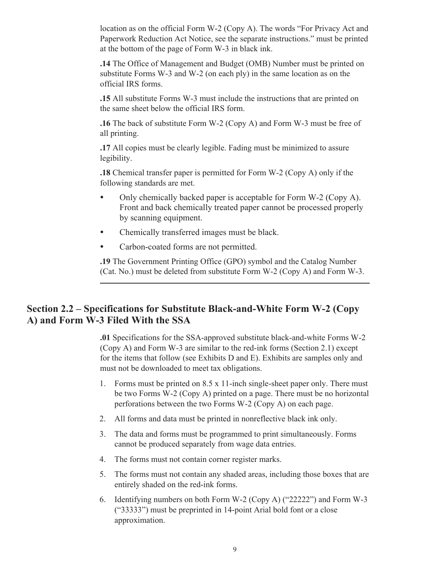<span id="page-10-0"></span>location as on the official Form W-2 (Copy A). The words "For Privacy Act and Paperwork Reduction Act Notice, see the separate instructions." must be printed at the bottom of the page of Form W-3 in black ink.

**.14** The Office of Management and Budget (OMB) Number must be printed on substitute Forms W-3 and W-2 (on each ply) in the same location as on the official IRS forms.

**.15** All substitute Forms W-3 must include the instructions that are printed on the same sheet below the official IRS form.

**.16** The back of substitute Form W-2 (Copy A) and Form W-3 must be free of all printing.

**.17** All copies must be clearly legible. Fading must be minimized to assure legibility.

**.18** Chemical transfer paper is permitted for Form W-2 (Copy A) only if the following standards are met.

- Only chemically backed paper is acceptable for Form W-2 (Copy A). Front and back chemically treated paper cannot be processed properly by scanning equipment.
- Chemically transferred images must be black.
- Carbon-coated forms are not permitted.

**.19** The Government Printing Office (GPO) symbol and the Catalog Number (Cat. No.) must be deleted from substitute Form W-2 (Copy A) and Form W-3.

### **Section 2.2 – Specifications for Substitute Black-and-White Form W-2 (Copy A) and Form W-3 Filed With the SSA**

**.01** Specifications for the SSA-approved substitute black-and-white Forms W-2 (Copy A) and Form W-3 are similar to the red-ink forms (Section 2.1) except for the items that follow (see Exhibits D and E). Exhibits are samples only and must not be downloaded to meet tax obligations.

- 1. Forms must be printed on 8.5 x 11-inch single-sheet paper only. There must be two Forms W-2 (Copy A) printed on a page. There must be no horizontal perforations between the two Forms W-2 (Copy A) on each page.
- 2. All forms and data must be printed in nonreflective black ink only.
- 3. The data and forms must be programmed to print simultaneously. Forms cannot be produced separately from wage data entries.
- 4. The forms must not contain corner register marks.
- 5. The forms must not contain any shaded areas, including those boxes that are entirely shaded on the red-ink forms.
- 6. Identifying numbers on both Form W-2 (Copy A) ("22222") and Form W-3 ("33333") must be preprinted in 14-point Arial bold font or a close approximation.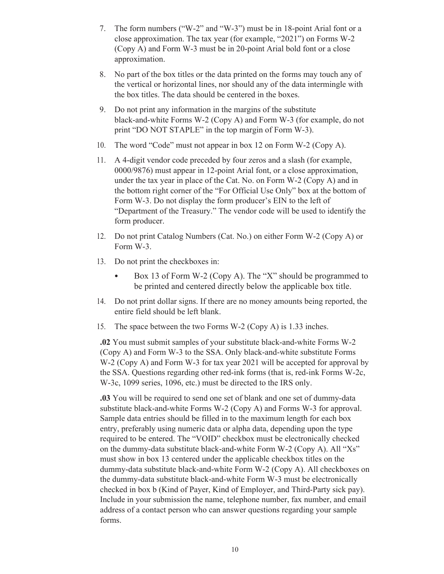- 7. The form numbers ("W-2" and "W-3") must be in 18-point Arial font or a close approximation. The tax year (for example, "2021") on Forms W-2 (Copy A) and Form W-3 must be in 20-point Arial bold font or a close approximation.
- 8. No part of the box titles or the data printed on the forms may touch any of the vertical or horizontal lines, nor should any of the data intermingle with the box titles. The data should be centered in the boxes.
- 9. Do not print any information in the margins of the substitute black-and-white Forms W-2 (Copy A) and Form W-3 (for example, do not print "DO NOT STAPLE" in the top margin of Form W-3).
- 10. The word "Code" must not appear in box 12 on Form W-2 (Copy A).
- 11. A 4-digit vendor code preceded by four zeros and a slash (for example, 0000/9876) must appear in 12-point Arial font, or a close approximation, under the tax year in place of the Cat. No. on Form W-2 (Copy A) and in the bottom right corner of the "For Official Use Only" box at the bottom of Form W-3. Do not display the form producer's EIN to the left of "Department of the Treasury." The vendor code will be used to identify the form producer.
- 12. Do not print Catalog Numbers (Cat. No.) on either Form W-2 (Copy A) or Form W-3.
- 13. Do not print the checkboxes in:
	- Box 13 of Form W-2 (Copy A). The "X" should be programmed to be printed and centered directly below the applicable box title.
- 14. Do not print dollar signs. If there are no money amounts being reported, the entire field should be left blank.
- 15. The space between the two Forms W-2 (Copy A) is 1.33 inches.

**.02** You must submit samples of your substitute black-and-white Forms W-2 (Copy A) and Form W-3 to the SSA. Only black-and-white substitute Forms W-2 (Copy A) and Form W-3 for tax year 2021 will be accepted for approval by the SSA. Questions regarding other red-ink forms (that is, red-ink Forms W-2c, W-3c, 1099 series, 1096, etc.) must be directed to the IRS only.

**.03** You will be required to send one set of blank and one set of dummy-data substitute black-and-white Forms W-2 (Copy A) and Forms W-3 for approval. Sample data entries should be filled in to the maximum length for each box entry, preferably using numeric data or alpha data, depending upon the type required to be entered. The "VOID" checkbox must be electronically checked on the dummy-data substitute black-and-white Form W-2 (Copy A). All "Xs" must show in box 13 centered under the applicable checkbox titles on the dummy-data substitute black-and-white Form W-2 (Copy A). All checkboxes on the dummy-data substitute black-and-white Form W-3 must be electronically checked in box b (Kind of Payer, Kind of Employer, and Third-Party sick pay). Include in your submission the name, telephone number, fax number, and email address of a contact person who can answer questions regarding your sample forms.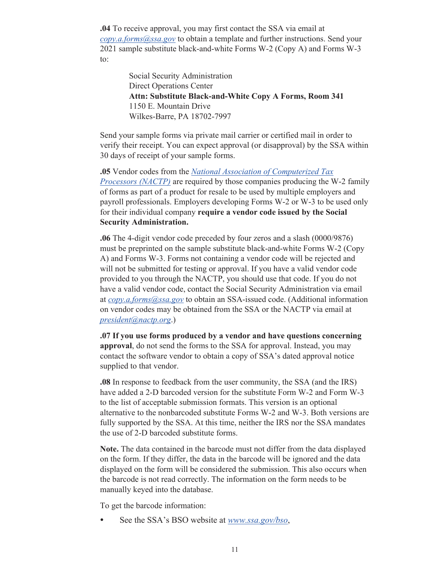**.04** To receive approval, you may first contact the SSA via email at *[copy.a.forms@ssa.gov](mailto:copy.a.forms@ssa.gov)* to obtain a template and further instructions. Send your 2021 sample substitute black-and-white Forms W-2 (Copy A) and Forms W-3 to:

> Social Security Administration Direct Operations Center **Attn: Substitute Black-and-White Copy A Forms, Room 341** 1150 E. Mountain Drive Wilkes-Barre, PA 18702-7997

Send your sample forms via private mail carrier or certified mail in order to verify their receipt. You can expect approval (or disapproval) by the SSA within 30 days of receipt of your sample forms.

**.05** Vendor codes from the *[National Association of Computerized Tax](https://www.nactp.org/)  [Processors \(NACTP\)](https://www.nactp.org/)* are required by those companies producing the W-2 family of forms as part of a product for resale to be used by multiple employers and payroll professionals. Employers developing Forms W-2 or W-3 to be used only for their individual company **require a vendor code issued by the Social Security Administration.**

**.06** The 4-digit vendor code preceded by four zeros and a slash (0000/9876) must be preprinted on the sample substitute black-and-white Forms W-2 (Copy A) and Forms W-3. Forms not containing a vendor code will be rejected and will not be submitted for testing or approval. If you have a valid vendor code provided to you through the NACTP, you should use that code. If you do not have a valid vendor code, contact the Social Security Administration via email at *[copy.a.forms@ssa.gov](mailto:copy.a.forms@ssa.gov)* to obtain an SSA-issued code. (Additional information on vendor codes may be obtained from the SSA or the NACTP via email at *[president@nactp.org](mailto:president@nactp.org)*.)

**.07 If you use forms produced by a vendor and have questions concerning approval**, do not send the forms to the SSA for approval. Instead, you may contact the software vendor to obtain a copy of SSA's dated approval notice supplied to that vendor.

**.08** In response to feedback from the user community, the SSA (and the IRS) have added a 2-D barcoded version for the substitute Form W-2 and Form W-3 to the list of acceptable submission formats. This version is an optional alternative to the nonbarcoded substitute Forms W-2 and W-3. Both versions are fully supported by the SSA. At this time, neither the IRS nor the SSA mandates the use of 2-D barcoded substitute forms.

**Note.** The data contained in the barcode must not differ from the data displayed on the form. If they differ, the data in the barcode will be ignored and the data displayed on the form will be considered the submission. This also occurs when the barcode is not read correctly. The information on the form needs to be manually keyed into the database.

To get the barcode information:

• See the SSA's BSO website at *[www.ssa.gov/bso](https://www.SSA.gov/bso)*,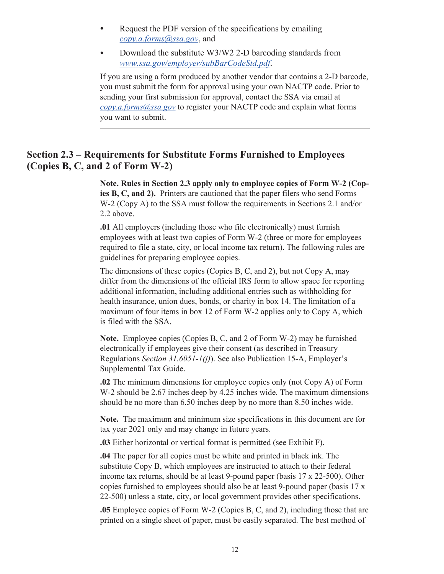- <span id="page-13-0"></span>• Request the PDF version of the specifications by emailing *[copy.a.forms@ssa.gov](mailto:copy.a.forms@ssa.gov)*, and
- Download the substitute W3/W2 2-D barcoding standards from *[www.ssa.gov/employer/subBarCodeStd.pdf](https://www.SSA.gov/employer/subBarCodeStd.pdf)*.

If you are using a form produced by another vendor that contains a 2-D barcode, you must submit the form for approval using your own NACTP code. Prior to sending your first submission for approval, contact the SSA via email at *[copy.a.forms@ssa.gov](mailto:copy.a.forms@ssa.gov)* to register your NACTP code and explain what forms you want to submit.

#### **Section 2.3 – Requirements for Substitute Forms Furnished to Employees (Copies B, C, and 2 of Form W-2)**

**Note. Rules in Section 2.3 apply only to employee copies of Form W-2 (Copies B, C, and 2).** Printers are cautioned that the paper filers who send Forms W-2 (Copy A) to the SSA must follow the requirements in Sections 2.1 and/or 2.2 above.

**.01** All employers (including those who file electronically) must furnish employees with at least two copies of Form W-2 (three or more for employees required to file a state, city, or local income tax return). The following rules are guidelines for preparing employee copies.

The dimensions of these copies (Copies B, C, and 2), but not Copy A, may differ from the dimensions of the official IRS form to allow space for reporting additional information, including additional entries such as withholding for health insurance, union dues, bonds, or charity in box 14. The limitation of a maximum of four items in box 12 of Form W-2 applies only to Copy A, which is filed with the SSA.

**Note.** Employee copies (Copies B, C, and 2 of Form W-2) may be furnished electronically if employees give their consent (as described in Treasury Regulations *Section 31.6051-1(j)*). See also Publication 15-A, Employer's Supplemental Tax Guide.

**.02** The minimum dimensions for employee copies only (not Copy A) of Form W-2 should be 2.67 inches deep by 4.25 inches wide. The maximum dimensions should be no more than 6.50 inches deep by no more than 8.50 inches wide.

**Note.** The maximum and minimum size specifications in this document are for tax year 2021 only and may change in future years.

**.03** Either horizontal or vertical format is permitted (see Exhibit F).

**.04** The paper for all copies must be white and printed in black ink. The substitute Copy B, which employees are instructed to attach to their federal income tax returns, should be at least 9-pound paper (basis 17 x 22-500). Other copies furnished to employees should also be at least 9-pound paper (basis 17 x 22-500) unless a state, city, or local government provides other specifications.

**.05** Employee copies of Form W-2 (Copies B, C, and 2), including those that are printed on a single sheet of paper, must be easily separated. The best method of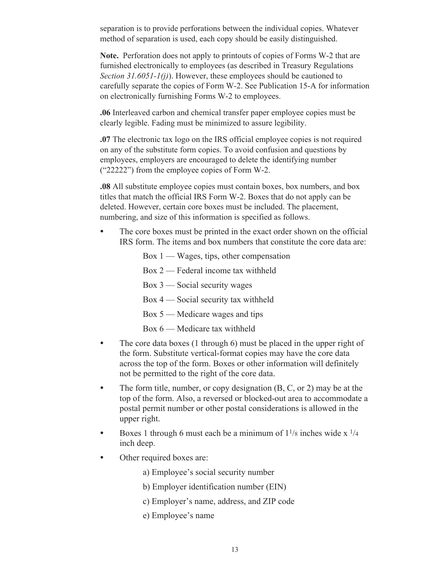separation is to provide perforations between the individual copies. Whatever method of separation is used, each copy should be easily distinguished.

**Note.** Perforation does not apply to printouts of copies of Forms W-2 that are furnished electronically to employees (as described in Treasury Regulations *Section 31.6051-1(j)*). However, these employees should be cautioned to carefully separate the copies of Form W-2. See Publication 15-A for information on electronically furnishing Forms W-2 to employees.

**.06** Interleaved carbon and chemical transfer paper employee copies must be clearly legible. Fading must be minimized to assure legibility.

**.07** The electronic tax logo on the IRS official employee copies is not required on any of the substitute form copies. To avoid confusion and questions by employees, employers are encouraged to delete the identifying number ("22222") from the employee copies of Form W-2.

**.08** All substitute employee copies must contain boxes, box numbers, and box titles that match the official IRS Form W-2. Boxes that do not apply can be deleted. However, certain core boxes must be included. The placement, numbering, and size of this information is specified as follows.

- The core boxes must be printed in the exact order shown on the official IRS form. The items and box numbers that constitute the core data are:
	- Box 1 Wages, tips, other compensation
	- Box 2 Federal income tax withheld
	- Box 3 Social security wages
	- Box 4 Social security tax withheld
	- Box 5 Medicare wages and tips
	- Box 6 Medicare tax withheld
- The core data boxes (1 through 6) must be placed in the upper right of the form. Substitute vertical-format copies may have the core data across the top of the form. Boxes or other information will definitely not be permitted to the right of the core data.
- The form title, number, or copy designation (B, C, or 2) may be at the top of the form. Also, a reversed or blocked-out area to accommodate a postal permit number or other postal considerations is allowed in the upper right.
- Boxes 1 through 6 must each be a minimum of  $1^{1/8}$  inches wide x  $^{1/4}$ inch deep.
- Other required boxes are:
	- a) Employee's social security number
	- b) Employer identification number (EIN)
	- c) Employer's name, address, and ZIP code
	- e) Employee's name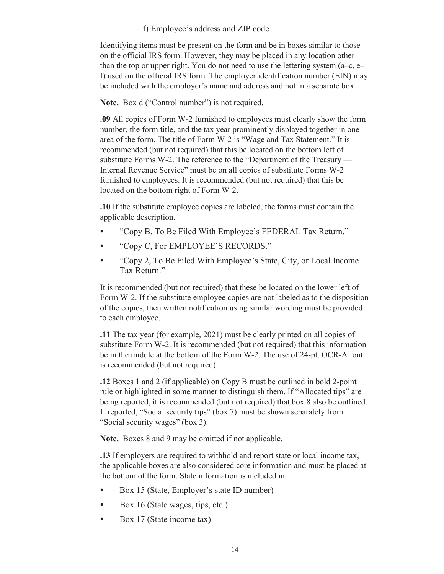#### f) Employee's address and ZIP code

Identifying items must be present on the form and be in boxes similar to those on the official IRS form. However, they may be placed in any location other than the top or upper right. You do not need to use the lettering system (a–c, e– f) used on the official IRS form. The employer identification number (EIN) may be included with the employer's name and address and not in a separate box.

Note. Box d ("Control number") is not required.

**.09** All copies of Form W-2 furnished to employees must clearly show the form number, the form title, and the tax year prominently displayed together in one area of the form. The title of Form W-2 is "Wage and Tax Statement." It is recommended (but not required) that this be located on the bottom left of substitute Forms W-2. The reference to the "Department of the Treasury — Internal Revenue Service" must be on all copies of substitute Forms W-2 furnished to employees. It is recommended (but not required) that this be located on the bottom right of Form W-2.

**.10** If the substitute employee copies are labeled, the forms must contain the applicable description.

- "Copy B, To Be Filed With Employee's FEDERAL Tax Return."
- "Copy C, For EMPLOYEE'S RECORDS."
- "Copy 2, To Be Filed With Employee's State, City, or Local Income Tax Return."

It is recommended (but not required) that these be located on the lower left of Form W-2. If the substitute employee copies are not labeled as to the disposition of the copies, then written notification using similar wording must be provided to each employee.

**.11** The tax year (for example, 2021) must be clearly printed on all copies of substitute Form W-2. It is recommended (but not required) that this information be in the middle at the bottom of the Form W-2. The use of 24-pt. OCR-A font is recommended (but not required).

**.12** Boxes 1 and 2 (if applicable) on Copy B must be outlined in bold 2-point rule or highlighted in some manner to distinguish them. If "Allocated tips" are being reported, it is recommended (but not required) that box 8 also be outlined. If reported, "Social security tips" (box 7) must be shown separately from "Social security wages" (box 3).

**Note.** Boxes 8 and 9 may be omitted if not applicable.

**.13** If employers are required to withhold and report state or local income tax, the applicable boxes are also considered core information and must be placed at the bottom of the form. State information is included in:

- Box 15 (State, Employer's state ID number)
- Box 16 (State wages, tips, etc.)
- Box 17 (State income tax)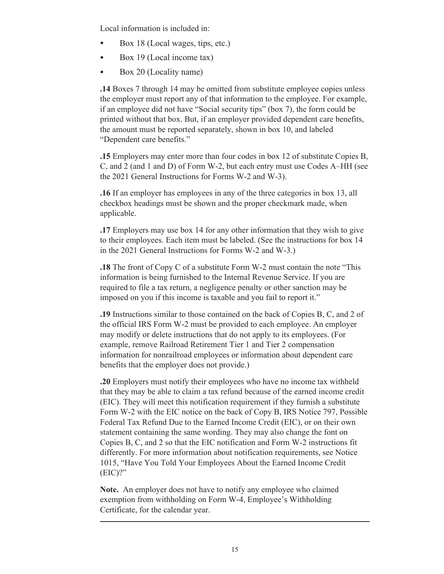Local information is included in:

- Box 18 (Local wages, tips, etc.)
- Box 19 (Local income tax)
- Box 20 (Locality name)

**.14** Boxes 7 through 14 may be omitted from substitute employee copies unless the employer must report any of that information to the employee. For example, if an employee did not have "Social security tips" (box 7), the form could be printed without that box. But, if an employer provided dependent care benefits, the amount must be reported separately, shown in box 10, and labeled "Dependent care benefits."

**.15** Employers may enter more than four codes in box 12 of substitute Copies B, C, and 2 (and 1 and D) of Form W-2, but each entry must use Codes A–HH (see the 2021 General Instructions for Forms W-2 and W-3).

**.16** If an employer has employees in any of the three categories in box 13, all checkbox headings must be shown and the proper checkmark made, when applicable.

**.17** Employers may use box 14 for any other information that they wish to give to their employees. Each item must be labeled. (See the instructions for box 14 in the 2021 General Instructions for Forms W-2 and W-3.)

**.18** The front of Copy C of a substitute Form W-2 must contain the note "This information is being furnished to the Internal Revenue Service. If you are required to file a tax return, a negligence penalty or other sanction may be imposed on you if this income is taxable and you fail to report it."

**.19** Instructions similar to those contained on the back of Copies B, C, and 2 of the official IRS Form W-2 must be provided to each employee. An employer may modify or delete instructions that do not apply to its employees. (For example, remove Railroad Retirement Tier 1 and Tier 2 compensation information for nonrailroad employees or information about dependent care benefits that the employer does not provide.)

**.20** Employers must notify their employees who have no income tax withheld that they may be able to claim a tax refund because of the earned income credit (EIC). They will meet this notification requirement if they furnish a substitute Form W-2 with the EIC notice on the back of Copy B, IRS Notice 797, Possible Federal Tax Refund Due to the Earned Income Credit (EIC), or on their own statement containing the same wording. They may also change the font on Copies B, C, and 2 so that the EIC notification and Form W-2 instructions fit differently. For more information about notification requirements, see Notice 1015, "Have You Told Your Employees About the Earned Income Credit (EIC)?"

**Note.** An employer does not have to notify any employee who claimed exemption from withholding on Form W-4, Employee's Withholding Certificate, for the calendar year.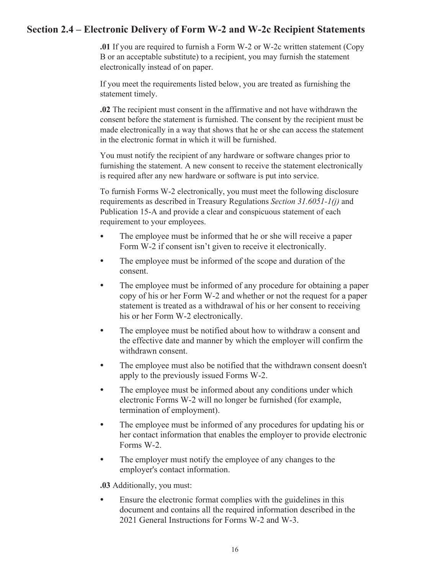### <span id="page-17-0"></span>**Section 2.4 – Electronic Delivery of Form W-2 and W-2c Recipient Statements**

**.01** If you are required to furnish a Form W-2 or W-2c written statement (Copy B or an acceptable substitute) to a recipient, you may furnish the statement electronically instead of on paper.

If you meet the requirements listed below, you are treated as furnishing the statement timely.

**.02** The recipient must consent in the affirmative and not have withdrawn the consent before the statement is furnished. The consent by the recipient must be made electronically in a way that shows that he or she can access the statement in the electronic format in which it will be furnished.

You must notify the recipient of any hardware or software changes prior to furnishing the statement. A new consent to receive the statement electronically is required after any new hardware or software is put into service.

To furnish Forms W-2 electronically, you must meet the following disclosure requirements as described in Treasury Regulations *Section 31.6051-1(j)* and Publication 15-A and provide a clear and conspicuous statement of each requirement to your employees.

- The employee must be informed that he or she will receive a paper Form W-2 if consent isn't given to receive it electronically.
- The employee must be informed of the scope and duration of the consent.
- The employee must be informed of any procedure for obtaining a paper copy of his or her Form W-2 and whether or not the request for a paper statement is treated as a withdrawal of his or her consent to receiving his or her Form W-2 electronically.
- The employee must be notified about how to withdraw a consent and the effective date and manner by which the employer will confirm the withdrawn consent.
- The employee must also be notified that the withdrawn consent doesn't apply to the previously issued Forms W-2.
- The employee must be informed about any conditions under which electronic Forms W-2 will no longer be furnished (for example, termination of employment).
- The employee must be informed of any procedures for updating his or her contact information that enables the employer to provide electronic Forms W-2.
- The employer must notify the employee of any changes to the employer's contact information.

**.03** Additionally, you must:

• Ensure the electronic format complies with the guidelines in this document and contains all the required information described in the 2021 General Instructions for Forms W-2 and W-3.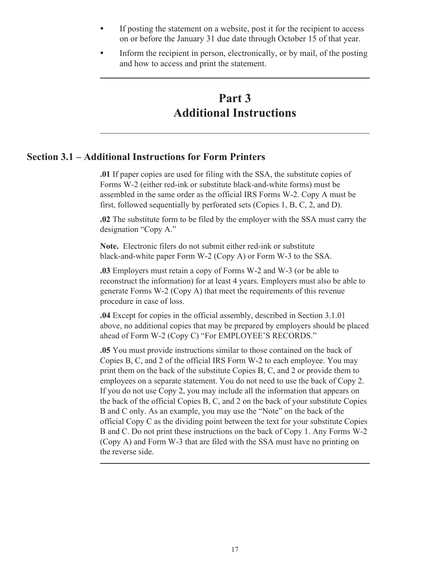- <span id="page-18-0"></span>• If posting the statement on a website, post it for the recipient to access on or before the January 31 due date through October 15 of that year.
- Inform the recipient in person, electronically, or by mail, of the posting and how to access and print the statement.

## **Part 3 Additional Instructions**

#### **Section 3.1 – Additional Instructions for Form Printers**

**.01** If paper copies are used for filing with the SSA, the substitute copies of Forms W-2 (either red-ink or substitute black-and-white forms) must be assembled in the same order as the official IRS Forms W-2. Copy A must be first, followed sequentially by perforated sets (Copies 1, B, C, 2, and D).

**.02** The substitute form to be filed by the employer with the SSA must carry the designation "Copy A."

**Note.** Electronic filers do not submit either red-ink or substitute black-and-white paper Form W-2 (Copy A) or Form W-3 to the SSA.

**.03** Employers must retain a copy of Forms W-2 and W-3 (or be able to reconstruct the information) for at least 4 years. Employers must also be able to generate Forms W-2 (Copy A) that meet the requirements of this revenue procedure in case of loss.

**.04** Except for copies in the official assembly, described in Section 3.1.01 above, no additional copies that may be prepared by employers should be placed ahead of Form W-2 (Copy C) "For EMPLOYEE'S RECORDS."

**.05** You must provide instructions similar to those contained on the back of Copies B, C, and 2 of the official IRS Form W-2 to each employee. You may print them on the back of the substitute Copies B, C, and 2 or provide them to employees on a separate statement. You do not need to use the back of Copy 2. If you do not use Copy 2, you may include all the information that appears on the back of the official Copies B, C, and 2 on the back of your substitute Copies B and C only. As an example, you may use the "Note" on the back of the official Copy C as the dividing point between the text for your substitute Copies B and C. Do not print these instructions on the back of Copy 1. Any Forms W-2 (Copy A) and Form W-3 that are filed with the SSA must have no printing on the reverse side.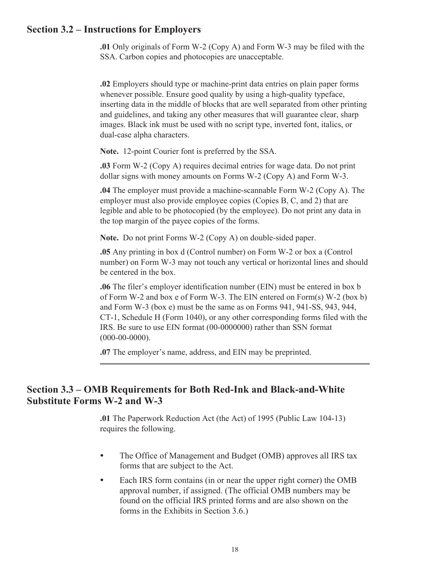### <span id="page-19-0"></span>**Section 3.2 – Instructions for Employers**

**.01** Only originals of Form W-2 (Copy A) and Form W-3 may be filed with the SSA. Carbon copies and photocopies are unacceptable.

**.02** Employers should type or machine-print data entries on plain paper forms whenever possible. Ensure good quality by using a high-quality typeface, inserting data in the middle of blocks that are well separated from other printing and guidelines, and taking any other measures that will guarantee clear, sharp images. Black ink must be used with no script type, inverted font, italics, or dual-case alpha characters.

**Note.** 12-point Courier font is preferred by the SSA.

**.03** Form W-2 (Copy A) requires decimal entries for wage data. Do not print dollar signs with money amounts on Forms W-2 (Copy A) and Form W-3.

**.04** The employer must provide a machine-scannable Form W-2 (Copy A). The employer must also provide employee copies (Copies B, C, and 2) that are legible and able to be photocopied (by the employee). Do not print any data in the top margin of the payee copies of the forms.

**Note.** Do not print Forms W-2 (Copy A) on double-sided paper.

**.05** Any printing in box d (Control number) on Form W-2 or box a (Control number) on Form W-3 may not touch any vertical or horizontal lines and should be centered in the box.

**.06** The filer's employer identification number (EIN) must be entered in box b of Form W-2 and box e of Form W-3. The EIN entered on Form(s) W-2 (box b) and Form W-3 (box e) must be the same as on Forms 941, 941-SS, 943, 944, CT-1, Schedule H (Form 1040), or any other corresponding forms filed with the IRS. Be sure to use EIN format (00-0000000) rather than SSN format (000-00-0000).

**.07** The employer's name, address, and EIN may be preprinted.

### **Section 3.3 – OMB Requirements for Both Red-Ink and Black-and-White Substitute Forms W-2 and W-3**

**.01** The Paperwork Reduction Act (the Act) of 1995 (Public Law 104-13) requires the following.

- The Office of Management and Budget (OMB) approves all IRS tax forms that are subject to the Act.
- Each IRS form contains (in or near the upper right corner) the OMB approval number, if assigned. (The official OMB numbers may be found on the official IRS printed forms and are also shown on the forms in the Exhibits in Section 3.6.)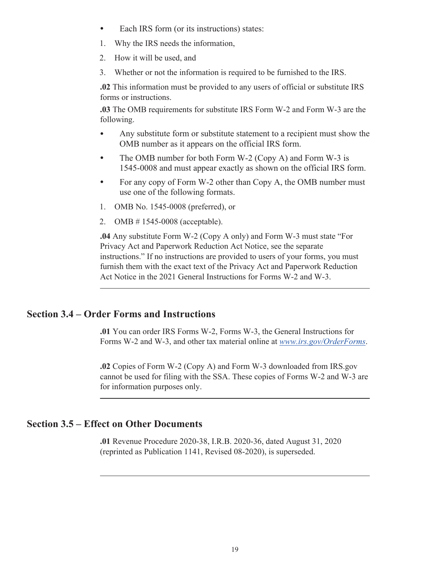- <span id="page-20-0"></span>• Each IRS form (or its instructions) states:
- 1. Why the IRS needs the information,
- 2. How it will be used, and
- 3. Whether or not the information is required to be furnished to the IRS.

**.02** This information must be provided to any users of official or substitute IRS forms or instructions.

**.03** The OMB requirements for substitute IRS Form W-2 and Form W-3 are the following.

- Any substitute form or substitute statement to a recipient must show the OMB number as it appears on the official IRS form.
- The OMB number for both Form W-2 (Copy A) and Form W-3 is 1545-0008 and must appear exactly as shown on the official IRS form.
- For any copy of Form W-2 other than Copy A, the OMB number must use one of the following formats.
- 1. OMB No. 1545-0008 (preferred), or
- 2. OMB # 1545-0008 (acceptable).

**.04** Any substitute Form W-2 (Copy A only) and Form W-3 must state "For Privacy Act and Paperwork Reduction Act Notice, see the separate instructions." If no instructions are provided to users of your forms, you must furnish them with the exact text of the Privacy Act and Paperwork Reduction Act Notice in the 2021 General Instructions for Forms W-2 and W-3.

#### **Section 3.4 – Order Forms and Instructions**

**.01** You can order IRS Forms W-2, Forms W-3, the General Instructions for Forms W-2 and W-3, and other tax material online at *[www.irs.gov/OrderForms](https://www.irs.gov/orderforms)*.

**.02** Copies of Form W-2 (Copy A) and Form W-3 downloaded from IRS.gov cannot be used for filing with the SSA. These copies of Forms W-2 and W-3 are for information purposes only.

#### **Section 3.5 – Effect on Other Documents**

**.01** Revenue Procedure 2020-38, I.R.B. 2020-36, dated August 31, 2020 (reprinted as Publication 1141, Revised 08-2020), is superseded.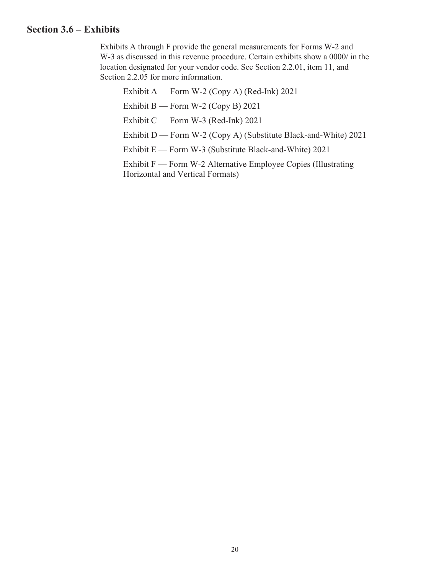#### <span id="page-21-0"></span>**Section 3.6 – Exhibits**

Exhibits A through F provide the general measurements for Forms W-2 and W-3 as discussed in this revenue procedure. Certain exhibits show a 0000/ in the location designated for your vendor code. See Section 2.2.01, item 11, and Section 2.2.05 for more information.

Exhibit A — Form W-2 (Copy A) (Red-Ink) 2021 Exhibit B — Form W-2 (Copy B)  $2021$ Exhibit C — Form W-3 (Red-Ink) 2021 Exhibit D — Form W-2 (Copy A) (Substitute Black-and-White) 2021 Exhibit E — Form W-3 (Substitute Black-and-White) 2021 Exhibit F — Form W-2 Alternative Employee Copies (Illustrating Horizontal and Vertical Formats)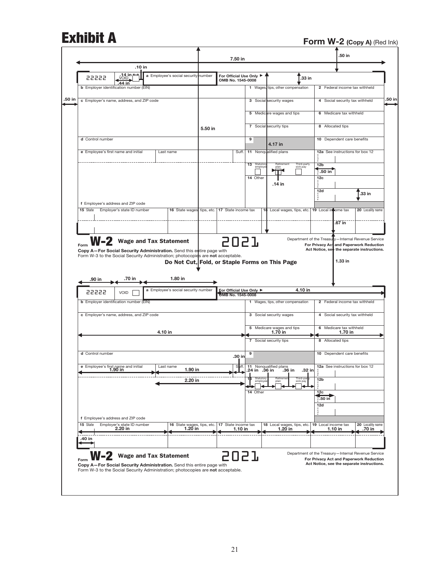## **Exhibit A** Form W-2 (Copy A) (Red Ink)

|                                                                                                                                                                                                  |                                                |         |                     | 7.50 in                                      |                     |                                               |                                      | .50 in                             |                                                                                                                                              |        |
|--------------------------------------------------------------------------------------------------------------------------------------------------------------------------------------------------|------------------------------------------------|---------|---------------------|----------------------------------------------|---------------------|-----------------------------------------------|--------------------------------------|------------------------------------|----------------------------------------------------------------------------------------------------------------------------------------------|--------|
| .10 in                                                                                                                                                                                           |                                                |         |                     |                                              |                     |                                               |                                      |                                    |                                                                                                                                              |        |
| .14 in ≛<br>22222<br><b>VOID</b><br>.44 in                                                                                                                                                       | a Employee's social security number            |         |                     | For Official Use Only ▶<br>OMB No. 1545-0008 |                     | .33 in                                        |                                      |                                    |                                                                                                                                              |        |
| <b>b</b> Employer identification number (EIN)                                                                                                                                                    |                                                |         |                     |                                              |                     | 1 Wages, tips, other compensation             |                                      |                                    | 2 Federal income tax withheld                                                                                                                |        |
| c Employer's name, address, and ZIP code                                                                                                                                                         |                                                |         |                     |                                              |                     | 3 Social security wages                       |                                      |                                    | 4 Social security tax withheld                                                                                                               | .50 in |
|                                                                                                                                                                                                  |                                                |         |                     |                                              |                     | 5 Medicare wages and tips                     |                                      | 6 Medicare tax withheld            |                                                                                                                                              |        |
|                                                                                                                                                                                                  |                                                | 5.50 in |                     |                                              |                     | 7 Social security tips                        | 8 Allocated tips                     |                                    |                                                                                                                                              |        |
| d Control number                                                                                                                                                                                 |                                                |         |                     |                                              | 9                   | 4.17 in                                       | 10 Dependent care benefits           |                                    |                                                                                                                                              |        |
| e Employee's first name and initial                                                                                                                                                              | Last name                                      |         |                     | Suff.                                        |                     | 11 Nonqualified plans                         | å                                    |                                    | 12a See instructions for box 12                                                                                                              |        |
|                                                                                                                                                                                                  |                                                |         |                     |                                              | 13 Statutor         | Retirement<br>Third-party<br>plan<br>sick pay | 12 <sub>b</sub><br>$3.50 \text{ in}$ |                                    |                                                                                                                                              |        |
|                                                                                                                                                                                                  |                                                |         |                     |                                              | 14 Other            | .14 in                                        | 12c                                  |                                    |                                                                                                                                              |        |
|                                                                                                                                                                                                  |                                                |         |                     |                                              |                     |                                               | 12d                                  |                                    | .33 in                                                                                                                                       |        |
| f Employee's address and ZIP code<br>15 State<br>Employer's state ID number                                                                                                                      | 16 State wages tips, etc.                      |         |                     |                                              |                     |                                               |                                      |                                    |                                                                                                                                              |        |
|                                                                                                                                                                                                  |                                                |         | 17 State income tax |                                              | 18                  | Local wages, tips, etc. 19 Local in ome tax   |                                      |                                    | 20 Locality name                                                                                                                             |        |
|                                                                                                                                                                                                  |                                                |         |                     |                                              |                     |                                               |                                      | .67 in                             |                                                                                                                                              |        |
| $W-2$ Wage and Tax Statement<br>Form<br>Copy A-For Social Security Administration. Send this entire page with<br>Form W-3 to the Social Security Administration; photocopies are not acceptable. | Do Not Cut, Fold, or Staple Forms on This Page |         |                     | 2021                                         |                     |                                               |                                      | 1.33 in                            | Department of the Treasury-Internal Revenue Service<br>For Privacy Act and Paperwork Reduction<br>Act Notice, see the separate instructions. |        |
| .70 in<br>.90 in<br>22222<br>VOID                                                                                                                                                                | 1.80 in<br>a Employee's social security number |         |                     | <b>For Official Use Only ▶</b>               |                     | 4.10 in                                       |                                      |                                    |                                                                                                                                              |        |
| <b>b</b> Employer identification number (EIN)                                                                                                                                                    |                                                |         |                     | OMB No. 1545-0008                            |                     | 1 Wages, tips, other compensation             |                                      |                                    | 2 Federal income tax withheld                                                                                                                |        |
| c Employer's name, address, and ZIP code                                                                                                                                                         |                                                |         |                     |                                              |                     | 3 Social security wages                       |                                      |                                    | 4 Social security tax withheld                                                                                                               |        |
|                                                                                                                                                                                                  | 4.10 in                                        |         |                     |                                              |                     | 5 Medicare wages and tips<br>1.70 in          |                                      | 6 Medicare tax withheld<br>1.70 in |                                                                                                                                              |        |
|                                                                                                                                                                                                  |                                                |         |                     |                                              |                     | 7 Social security tips                        | 8 Allocated tips                     |                                    |                                                                                                                                              |        |
| d Control number                                                                                                                                                                                 |                                                |         |                     | .30 in                                       | 9                   |                                               | 10 Dependent care benefits           |                                    |                                                                                                                                              |        |
| e Employee's first name and initial<br>1.90 in                                                                                                                                                   | Last name<br>1.90 in                           |         |                     | Suff.                                        | .24 in .36 in       | 11 Nonqualified plans<br>32 in<br>.36 in      |                                      |                                    | 12a See instructions for box 12                                                                                                              |        |
|                                                                                                                                                                                                  | 2.20 in                                        |         |                     |                                              | Statuton<br>employe | Retireme<br>Third-pa<br>sick pay<br>plan      | 12 <sub>b</sub>                      |                                    |                                                                                                                                              |        |
|                                                                                                                                                                                                  |                                                |         |                     |                                              | 14 Other            |                                               | 12 <sub>c</sub><br>8.50 in           |                                    |                                                                                                                                              |        |
|                                                                                                                                                                                                  |                                                |         |                     |                                              |                     |                                               | 12d<br>ă                             |                                    |                                                                                                                                              |        |
| f Employee's address and ZIP code<br>15 State<br>Employer's state ID number                                                                                                                      | 16 State wages, tips, etc.                     |         |                     | 17 State income tax                          |                     | 18 Local wages, tips, etc.                    | 19 Local income tax                  |                                    | 20 Locality name                                                                                                                             |        |
| 2.20 in<br>.40 in                                                                                                                                                                                | 1.20 in                                        |         |                     | 1.10 in                                      |                     | 1.20 in                                       | $1.10$ in                            |                                    | .70 in                                                                                                                                       |        |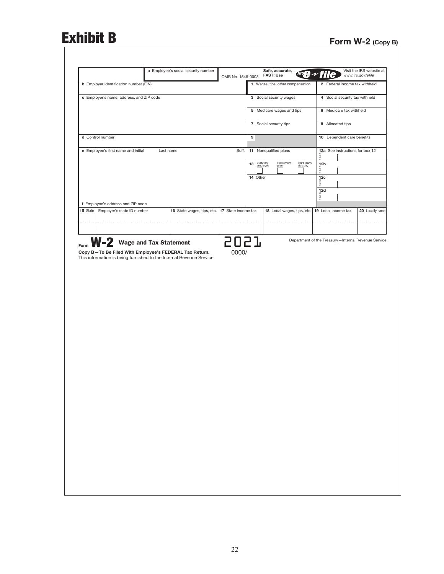# **Form W-2 (Copy B)**

|                                                                      | a Employee's social security number            | OMB No. 1545-0008 |                 | Safe, accurate,<br>irs $\mathbf{P}$ 1<br><b>FAST! Use</b> |                                                                       | Visit the IRS website at<br>www.irs.gov/efile |
|----------------------------------------------------------------------|------------------------------------------------|-------------------|-----------------|-----------------------------------------------------------|-----------------------------------------------------------------------|-----------------------------------------------|
| <b>b</b> Employer identification number (EIN)                        |                                                |                   |                 | 1 Wages, tips, other compensation                         | 2 Federal income tax withheld                                         |                                               |
| c Employer's name, address, and ZIP code                             |                                                |                   |                 | 3 Social security wages                                   | 4 Social security tax withheld                                        |                                               |
|                                                                      |                                                |                   |                 | 5 Medicare wages and tips                                 | 6 Medicare tax withheld                                               |                                               |
|                                                                      |                                                |                   |                 | 7 Social security tips                                    | 8 Allocated tips                                                      |                                               |
| d Control number                                                     |                                                |                   | 9               |                                                           | 10 Dependent care benefits                                            |                                               |
| e Employee's first name and initial                                  | Last name                                      | Suff.             |                 | 11 Nonqualified plans                                     | 12a See instructions for box 12<br>$\overset{\circ}{\phantom{\circ}}$ |                                               |
|                                                                      |                                                |                   | Statutory<br>13 | Retirement<br>Third-party<br>employee<br>sick pay<br>plan | $12b$<br>$\frac{1}{6}$                                                |                                               |
|                                                                      |                                                |                   | 14 Other        |                                                           | 12 <sub>c</sub><br>$rac{C}{a}$                                        |                                               |
|                                                                      |                                                |                   |                 |                                                           | 12d<br>0a                                                             |                                               |
| f Employee's address and ZIP code                                    |                                                |                   |                 |                                                           |                                                                       |                                               |
| 15 State Employer's state ID number                                  | 16 State wages, tips, etc. 17 State income tax |                   |                 | 18 Local wages, tips, etc. 19 Local income tax            |                                                                       | 20 Locality name                              |
|                                                                      |                                                |                   |                 |                                                           |                                                                       |                                               |
| <b>W-2</b> Wage and Tax Statement                                    |                                                | 5057              |                 |                                                           | Department of the Treasury-Internal Revenue Service                   |                                               |
| Copy B-To Be Filed With Employee's FEDERAL Tax Return.               |                                                | 0000/             |                 |                                                           |                                                                       |                                               |
| This information is being furnished to the Internal Revenue Service. |                                                |                   |                 |                                                           |                                                                       |                                               |
|                                                                      |                                                |                   |                 |                                                           |                                                                       |                                               |
|                                                                      |                                                |                   |                 |                                                           |                                                                       |                                               |
|                                                                      |                                                |                   |                 |                                                           |                                                                       |                                               |
|                                                                      |                                                |                   |                 |                                                           |                                                                       |                                               |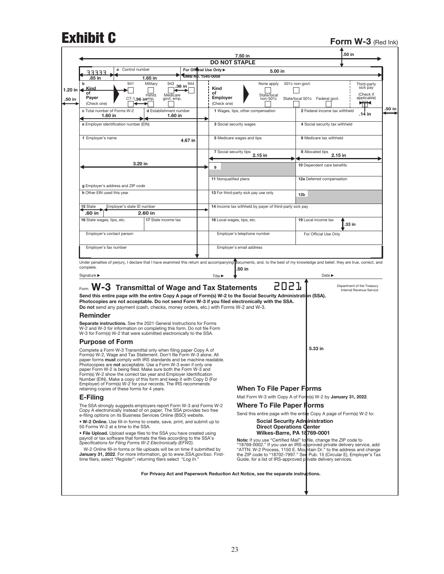## **Form W-3 (Red Ink)**

|                                                                                                                                                                                                                                                                                                                                                                                                                                                                                                                                                                  |                                        |                         | <b>DO NOT STAPLE</b>                                                    |                                                                                                                                                                                                                                                                                                                                    |
|------------------------------------------------------------------------------------------------------------------------------------------------------------------------------------------------------------------------------------------------------------------------------------------------------------------------------------------------------------------------------------------------------------------------------------------------------------------------------------------------------------------------------------------------------------------|----------------------------------------|-------------------------|-------------------------------------------------------------------------|------------------------------------------------------------------------------------------------------------------------------------------------------------------------------------------------------------------------------------------------------------------------------------------------------------------------------------|
| Control number<br>a<br>ココココニ                                                                                                                                                                                                                                                                                                                                                                                                                                                                                                                                     |                                        | For Official Use Only ▶ | 5.00 in                                                                 |                                                                                                                                                                                                                                                                                                                                    |
| .85 in<br>1.65 in                                                                                                                                                                                                                                                                                                                                                                                                                                                                                                                                                |                                        | OMB Np. 1545-0008       |                                                                         |                                                                                                                                                                                                                                                                                                                                    |
| b<br>941<br>Military<br>Kind<br>1.20 in<br>οf<br>Hshld.<br>Payer<br>CT-1.36 in Pmp.<br>(Check one)                                                                                                                                                                                                                                                                                                                                                                                                                                                               | 943<br>36 in<br>Medicare<br>govt. emp. | 944<br>Kind<br>of       | None apply<br>State/local<br><b>Employer</b><br>non-501c<br>(Check one) | 501c non-govt.<br>Third-party<br>sick pay<br>(Check if<br>applicable)<br>State/local 501c Federal govt.<br>₩₩                                                                                                                                                                                                                      |
| c Total number of Forms W-2<br>1.60 in                                                                                                                                                                                                                                                                                                                                                                                                                                                                                                                           | d Establishment number<br>1.60 in      |                         | 1 Wages, tips, other compensation                                       | 2 Federal income tax withheld<br>.14 in                                                                                                                                                                                                                                                                                            |
| e Employer identification number (EIN)                                                                                                                                                                                                                                                                                                                                                                                                                                                                                                                           |                                        |                         | 3 Social security wages                                                 | 4 Social security tax withheld                                                                                                                                                                                                                                                                                                     |
| f Employer's name                                                                                                                                                                                                                                                                                                                                                                                                                                                                                                                                                |                                        | 4.67 in                 | 5 Medicare wages and tips                                               | 6 Medicare tax withheld                                                                                                                                                                                                                                                                                                            |
|                                                                                                                                                                                                                                                                                                                                                                                                                                                                                                                                                                  |                                        |                         | 7 Social security tips<br>2.15 in                                       | 8 Allocated tips<br>2.15 in                                                                                                                                                                                                                                                                                                        |
| 3.20 in                                                                                                                                                                                                                                                                                                                                                                                                                                                                                                                                                          |                                        |                         |                                                                         |                                                                                                                                                                                                                                                                                                                                    |
|                                                                                                                                                                                                                                                                                                                                                                                                                                                                                                                                                                  |                                        | 9                       |                                                                         | 10 Dependent care benefits                                                                                                                                                                                                                                                                                                         |
|                                                                                                                                                                                                                                                                                                                                                                                                                                                                                                                                                                  |                                        |                         | 11 Nonqualified plans                                                   | 12a Deferred compensation                                                                                                                                                                                                                                                                                                          |
| g Employer's address and ZIP code<br>h Other EIN used this year                                                                                                                                                                                                                                                                                                                                                                                                                                                                                                  |                                        |                         | 13 For third-party sick pay use only                                    |                                                                                                                                                                                                                                                                                                                                    |
|                                                                                                                                                                                                                                                                                                                                                                                                                                                                                                                                                                  |                                        |                         |                                                                         | 12 <sub>b</sub>                                                                                                                                                                                                                                                                                                                    |
| Employer's state ID number<br>15 State                                                                                                                                                                                                                                                                                                                                                                                                                                                                                                                           |                                        |                         | 14 Income tax withheld by payer of third-party sick pay                 |                                                                                                                                                                                                                                                                                                                                    |
| .60 in<br>2.60 in                                                                                                                                                                                                                                                                                                                                                                                                                                                                                                                                                |                                        |                         |                                                                         |                                                                                                                                                                                                                                                                                                                                    |
| 16 State wages, tips, etc.                                                                                                                                                                                                                                                                                                                                                                                                                                                                                                                                       | 17 State income tax                    |                         | 18 Local wages, tips, etc.                                              | 19 Local income tax<br>.33 in                                                                                                                                                                                                                                                                                                      |
| Employer's contact person                                                                                                                                                                                                                                                                                                                                                                                                                                                                                                                                        |                                        |                         | Employer's telephone number                                             | For Official Use Only                                                                                                                                                                                                                                                                                                              |
| Employer's fax number                                                                                                                                                                                                                                                                                                                                                                                                                                                                                                                                            |                                        |                         | Employer's email address                                                |                                                                                                                                                                                                                                                                                                                                    |
|                                                                                                                                                                                                                                                                                                                                                                                                                                                                                                                                                                  |                                        |                         |                                                                         | Under penalties of perjury, I declare that I have examined this return and accompanying pocuments, and, to the best of my knowledge and belief, they are true, correct, and                                                                                                                                                        |
|                                                                                                                                                                                                                                                                                                                                                                                                                                                                                                                                                                  |                                        |                         |                                                                         |                                                                                                                                                                                                                                                                                                                                    |
| complete.<br>Signature $\blacktriangleright$                                                                                                                                                                                                                                                                                                                                                                                                                                                                                                                     |                                        | Title ▶                 | 50 in                                                                   | Date $\blacktriangleright$                                                                                                                                                                                                                                                                                                         |
| Form W-3 Transmittal of Wage and Tax Statements<br>Send this entire page with the entire Copy A page of Form(s) W-2 to the Social Security Administration (SSA).<br>Photocopies are not acceptable. Do not send Form W-3 if you filed electronically with the SSA.<br>Do not send any payment (cash, checks, money orders, etc.) with Forms W-2 and W-3.                                                                                                                                                                                                         |                                        |                         |                                                                         | 5057<br>Department of the Treasury<br>Internal Revenue Service                                                                                                                                                                                                                                                                     |
| <b>Reminder</b>                                                                                                                                                                                                                                                                                                                                                                                                                                                                                                                                                  |                                        |                         |                                                                         |                                                                                                                                                                                                                                                                                                                                    |
| Separate instructions. See the 2021 General Instructions for Forms<br>W-2 and W-3 for information on completing this form. Do not file Form<br>W-3 for Form(s) W-2 that were submitted electronically to the SSA.                                                                                                                                                                                                                                                                                                                                                |                                        |                         |                                                                         |                                                                                                                                                                                                                                                                                                                                    |
| <b>Purpose of Form</b>                                                                                                                                                                                                                                                                                                                                                                                                                                                                                                                                           |                                        |                         |                                                                         |                                                                                                                                                                                                                                                                                                                                    |
| Complete a Form W-3 Transmittal only when filing paper Copy A of<br>Form(s) W-2, Wage and Tax Statement. Don't file Form W-3 alone. All<br>paper forms must comply with IRS standards and be machine readable.<br>Photocopies are not acceptable. Use a Form W-3 even if only one<br>paper Form W-2 is being filed. Make sure both the Form W-3 and<br>Form(s) W-2 show the correct tax year and Employer Identification<br>Number (EIN). Make a copy of this form and keep it with Copy D (For<br>Employer) of Form(s) W-2 for your records. The IRS recommends |                                        |                         |                                                                         | 5.33 in                                                                                                                                                                                                                                                                                                                            |
| retaining copies of these forms for 4 years.                                                                                                                                                                                                                                                                                                                                                                                                                                                                                                                     |                                        |                         | <b>When To File Paper Forms</b>                                         |                                                                                                                                                                                                                                                                                                                                    |
| E-Filing<br>The SSA strongly suggests employers report Form W-3 and Forms W-2                                                                                                                                                                                                                                                                                                                                                                                                                                                                                    |                                        |                         |                                                                         | Mail Form W-3 with Copy A of Form(s) W-2 by January 31, 2022.<br><b>Where To File Paper Florms</b>                                                                                                                                                                                                                                 |
| Copy A electronically instead of on paper. The SSA provides two free<br>e-filing options on its Business Services Online (BSO) website.                                                                                                                                                                                                                                                                                                                                                                                                                          |                                        |                         |                                                                         | Send this entire page with the entire Copy A page of Form(s) W-2 to:                                                                                                                                                                                                                                                               |
| . W-2 Online. Use fill-in forms to create, save, print, and submit up to<br>50 Forms W-2 at a time to the SSA.                                                                                                                                                                                                                                                                                                                                                                                                                                                   |                                        |                         |                                                                         | Social Security Administration<br><b>Direct Operations Genter</b>                                                                                                                                                                                                                                                                  |
| • File Upload. Upload wage files to the SSA you have created using<br>payroll or tax software that formats the files according to the SSA's<br>Specifications for Filing Forms W-2 Electronically (EFW2).<br>W-2 Online fill-in forms or file uploads will be on time if submitted by<br>January 31, 2022. For more information, go to www.SSA.gov/bso. First-                                                                                                                                                                                                   |                                        |                         |                                                                         | <b>Wilkes-Barre, PA 18769-0001</b><br>Note: If you use "Certified Mail" to file, change the ZIP code to<br>"18769-0002." If you use an IRS-approved private delivery service, add<br>"ATTN: W-2 Process, 1150 E. Mountain Dr." to the address and change<br>the ZIP code to "18702-7997." See Pub. 15 (Circular E), Employer's Tax |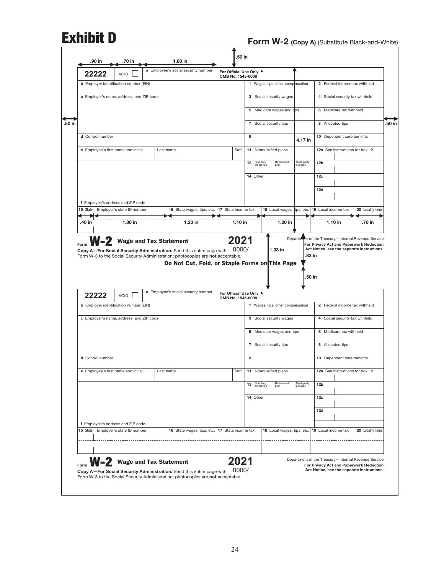| 15 State | 22222<br>d Control number | VOID<br><b>b</b> Employer identification number (EIN)<br>c Employer's name, address, and ZIP code<br>e Employee's first name and initial | Last name                                      |                            | For Official Use Only ▶<br>OMB No. 1545-0008 |               |                             | 1 Wages, tips, other compensation<br>3 Social security wages<br>5 Medicare wages and tps |                         |                     | 2 Federal income tax withheld<br>4 Social security tax withheld<br>6 Medicare tax withheld |                                                                                                                                              |
|----------|---------------------------|------------------------------------------------------------------------------------------------------------------------------------------|------------------------------------------------|----------------------------|----------------------------------------------|---------------|-----------------------------|------------------------------------------------------------------------------------------|-------------------------|---------------------|--------------------------------------------------------------------------------------------|----------------------------------------------------------------------------------------------------------------------------------------------|
|          |                           |                                                                                                                                          |                                                |                            |                                              |               |                             |                                                                                          |                         |                     |                                                                                            |                                                                                                                                              |
|          |                           |                                                                                                                                          |                                                |                            |                                              |               |                             |                                                                                          |                         |                     |                                                                                            |                                                                                                                                              |
|          |                           |                                                                                                                                          |                                                |                            |                                              |               |                             |                                                                                          |                         |                     |                                                                                            |                                                                                                                                              |
|          |                           |                                                                                                                                          |                                                |                            |                                              |               |                             |                                                                                          |                         |                     |                                                                                            |                                                                                                                                              |
|          |                           |                                                                                                                                          |                                                |                            |                                              |               | 9                           | 7 Social security tips                                                                   |                         |                     | 8 Allocated tips<br>10 Dependent care benefits                                             |                                                                                                                                              |
|          |                           |                                                                                                                                          |                                                |                            |                                              | Suff.         |                             | 11 Nonqualified plans                                                                    | 4.17 in                 |                     | 12a See instructions for box 12                                                            |                                                                                                                                              |
|          |                           |                                                                                                                                          |                                                |                            |                                              |               | 13 Statutory                | Retirement                                                                               | Third-party             | 12 <sub>b</sub>     |                                                                                            |                                                                                                                                              |
|          |                           |                                                                                                                                          |                                                |                            |                                              |               | employee<br>14 Other        | plan                                                                                     | sick pay                | 12c                 |                                                                                            |                                                                                                                                              |
|          |                           |                                                                                                                                          |                                                |                            |                                              |               |                             |                                                                                          |                         | 12d                 |                                                                                            |                                                                                                                                              |
|          |                           | f Employee's address and ZIP code                                                                                                        |                                                |                            |                                              |               |                             |                                                                                          |                         |                     |                                                                                            |                                                                                                                                              |
|          |                           | Employer's state ID number                                                                                                               |                                                | 16 State wages, tips, etc. | 17 State income tax                          |               |                             | 18 Local wages,                                                                          | ips, etc.               | 19 Local income tax |                                                                                            | 20 Locality name                                                                                                                             |
| .40 in   |                           | 1.80 in                                                                                                                                  | 1.20 in                                        |                            |                                              | $1.10$ in     |                             | 1.20 in                                                                                  |                         |                     | $1.10$ in                                                                                  | .70 in                                                                                                                                       |
|          |                           |                                                                                                                                          | Do Not Cut, Fold, or Staple Forms on This Page |                            |                                              |               |                             |                                                                                          |                         | .50 in              |                                                                                            |                                                                                                                                              |
|          | 22222                     | VOID                                                                                                                                     | a Employee's social security number            |                            | For Official Use Only ▶<br>OMB No. 1545-0008 |               |                             |                                                                                          |                         |                     |                                                                                            |                                                                                                                                              |
|          |                           | <b>b</b> Employer identification number (EIN)                                                                                            |                                                |                            |                                              |               |                             | 1 Wages, tips, other compensation                                                        |                         |                     | 2 Federal income tax withheld                                                              |                                                                                                                                              |
|          |                           | c Employer's name, address, and ZIP code                                                                                                 |                                                |                            |                                              |               |                             | 3 Social security wages                                                                  |                         |                     | 4 Social security tax withheld                                                             |                                                                                                                                              |
|          |                           |                                                                                                                                          |                                                |                            |                                              |               |                             | 5 Medicare wages and tips                                                                |                         |                     | 6 Medicare tax withheld                                                                    |                                                                                                                                              |
|          |                           |                                                                                                                                          |                                                |                            |                                              |               |                             | 7 Social security tips                                                                   |                         |                     | 8 Allocated tips                                                                           |                                                                                                                                              |
|          | d Control number          |                                                                                                                                          |                                                |                            |                                              |               | 9                           |                                                                                          |                         |                     | 10 Dependent care benefits                                                                 |                                                                                                                                              |
|          |                           | e Employee's first name and initial                                                                                                      | Last name                                      |                            |                                              | Suff.         |                             | 11 Nonqualified plans                                                                    |                         |                     | 12a See instructions for box 12                                                            |                                                                                                                                              |
|          |                           |                                                                                                                                          |                                                |                            |                                              |               | Statutory<br>employee<br>13 | Retirement<br>plan                                                                       | Third-party<br>sick pay | 12 <sub>b</sub>     |                                                                                            |                                                                                                                                              |
|          |                           |                                                                                                                                          |                                                |                            |                                              |               | 14 Other                    |                                                                                          |                         | 12c                 |                                                                                            |                                                                                                                                              |
|          |                           |                                                                                                                                          |                                                |                            |                                              |               |                             |                                                                                          |                         | 12d                 |                                                                                            |                                                                                                                                              |
| 15 State |                           | f Employee's address and ZIP code<br>Employer's state ID number                                                                          |                                                | 16 State wages, tips, etc. | 17 State income tax                          |               |                             | 18 Local wages, tips, etc.                                                               |                         | 19 Local income tax |                                                                                            | 20 Locality name                                                                                                                             |
|          |                           |                                                                                                                                          |                                                |                            |                                              |               |                             |                                                                                          |                         |                     |                                                                                            |                                                                                                                                              |
|          |                           |                                                                                                                                          |                                                |                            |                                              |               |                             |                                                                                          |                         |                     |                                                                                            |                                                                                                                                              |
|          |                           | W-2 Wage and Tax Statement                                                                                                               |                                                |                            |                                              | 2021<br>0000/ |                             |                                                                                          |                         |                     |                                                                                            | Department of the Treasury-Internal Revenue Service<br>For Privacy Act and Paperwork Reduction<br>Act Notice, see the separate instructions. |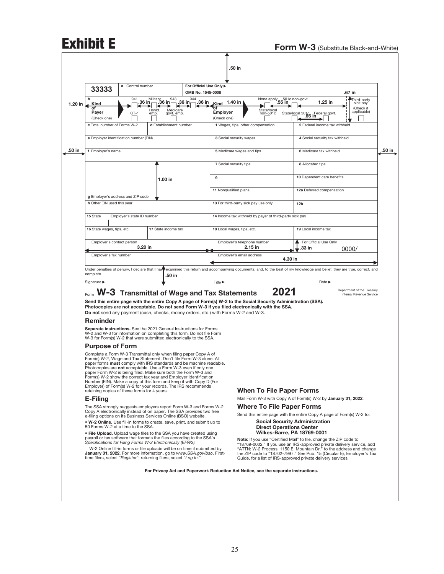# Exhibit E<br>Form W-3 (Substitute Black-and-White)

|                                              | 33333                       | a Control number                       |                                                                                                                                                                                                                                                                                                                                                                                             |                    | For Official Use Only ▶<br>OMB No. 1545-0008                                                                                                                                                                      |                                                                                                                                                                                                                                                                                                                                                              |                                                                       |                                |                                                        |
|----------------------------------------------|-----------------------------|----------------------------------------|---------------------------------------------------------------------------------------------------------------------------------------------------------------------------------------------------------------------------------------------------------------------------------------------------------------------------------------------------------------------------------------------|--------------------|-------------------------------------------------------------------------------------------------------------------------------------------------------------------------------------------------------------------|--------------------------------------------------------------------------------------------------------------------------------------------------------------------------------------------------------------------------------------------------------------------------------------------------------------------------------------------------------------|-----------------------------------------------------------------------|--------------------------------|--------------------------------------------------------|
| b                                            |                             | 941                                    | $\overline{\text{Millitar}}$ 36 in<br>36 in 1                                                                                                                                                                                                                                                                                                                                               | 943                | 944                                                                                                                                                                                                               | None apply 55 in                                                                                                                                                                                                                                                                                                                                             | 501c non-govt.                                                        |                                | .67 in<br>Third-party                                  |
| 1.20 in<br><u>Kind</u>                       |                             |                                        | Hshld.                                                                                                                                                                                                                                                                                                                                                                                      | .36 in<br>Medicare | .36 in i<br>Kind<br>σf                                                                                                                                                                                            | 1.40 in<br>State/local                                                                                                                                                                                                                                                                                                                                       |                                                                       | 1.25 in                        | sick pay<br>(Check if                                  |
| Payer<br>(Check one)                         |                             | $CT-1$                                 | emp.                                                                                                                                                                                                                                                                                                                                                                                        | govt. emp.         | <b>Employer</b><br>(Check one)                                                                                                                                                                                    | non-501c                                                                                                                                                                                                                                                                                                                                                     | State/local 5016 Fe                                                   | . Federal govt.                | applicable)                                            |
|                                              | c Total number of Forms W-2 |                                        | d Establishment number                                                                                                                                                                                                                                                                                                                                                                      |                    |                                                                                                                                                                                                                   | 1 Wages, tips, other compensation                                                                                                                                                                                                                                                                                                                            |                                                                       | 2 Federal income tax withheld  |                                                        |
|                                              |                             | e Employer identification number (EIN) |                                                                                                                                                                                                                                                                                                                                                                                             |                    |                                                                                                                                                                                                                   | 3 Social security wages                                                                                                                                                                                                                                                                                                                                      |                                                                       | 4 Social security tax withheld |                                                        |
| f Employer's name                            |                             |                                        |                                                                                                                                                                                                                                                                                                                                                                                             |                    |                                                                                                                                                                                                                   | 5 Medicare wages and tips                                                                                                                                                                                                                                                                                                                                    |                                                                       | 6 Medicare tax withheld        |                                                        |
|                                              |                             |                                        |                                                                                                                                                                                                                                                                                                                                                                                             |                    |                                                                                                                                                                                                                   | 7 Social security tips                                                                                                                                                                                                                                                                                                                                       |                                                                       | 8 Allocated tips               |                                                        |
|                                              |                             |                                        |                                                                                                                                                                                                                                                                                                                                                                                             |                    | 9                                                                                                                                                                                                                 |                                                                                                                                                                                                                                                                                                                                                              |                                                                       | 10 Dependent care benefits     |                                                        |
|                                              |                             |                                        | 1.00 in                                                                                                                                                                                                                                                                                                                                                                                     |                    |                                                                                                                                                                                                                   |                                                                                                                                                                                                                                                                                                                                                              |                                                                       |                                |                                                        |
|                                              |                             | g Employer's address and ZIP code      |                                                                                                                                                                                                                                                                                                                                                                                             |                    | 11 Nonqualified plans                                                                                                                                                                                             |                                                                                                                                                                                                                                                                                                                                                              |                                                                       | 12a Deferred compensation      |                                                        |
|                                              | h Other EIN used this year  |                                        |                                                                                                                                                                                                                                                                                                                                                                                             |                    |                                                                                                                                                                                                                   | 13 For third-party sick pay use only                                                                                                                                                                                                                                                                                                                         | 12 <sub>b</sub>                                                       |                                |                                                        |
| 15 State                                     |                             | Employer's state ID number             |                                                                                                                                                                                                                                                                                                                                                                                             |                    |                                                                                                                                                                                                                   | 14 Income tax withheld by payer of third-party sick pay                                                                                                                                                                                                                                                                                                      |                                                                       |                                |                                                        |
|                                              | 16 State wages, tips, etc.  |                                        | 17 State income tax                                                                                                                                                                                                                                                                                                                                                                         |                    |                                                                                                                                                                                                                   | 18 Local wages, tips, etc.                                                                                                                                                                                                                                                                                                                                   |                                                                       | 19 Local income tax            |                                                        |
|                                              |                             |                                        |                                                                                                                                                                                                                                                                                                                                                                                             |                    |                                                                                                                                                                                                                   |                                                                                                                                                                                                                                                                                                                                                              |                                                                       |                                |                                                        |
|                                              | Employer's contact person   |                                        | 3.20 in                                                                                                                                                                                                                                                                                                                                                                                     |                    |                                                                                                                                                                                                                   | Employer's telephone number<br>2.15 in                                                                                                                                                                                                                                                                                                                       | 33 in                                                                 | For Official Use Only          | 0000/                                                  |
|                                              | Employer's fax number       |                                        |                                                                                                                                                                                                                                                                                                                                                                                             |                    |                                                                                                                                                                                                                   | Employer's email address                                                                                                                                                                                                                                                                                                                                     | 4.30 in                                                               |                                |                                                        |
| complete.<br>Signature $\blacktriangleright$ |                             |                                        | Under penalties of perjury, I declare that I have                                                                                                                                                                                                                                                                                                                                           | .50 in             | <b>Title ▶</b>                                                                                                                                                                                                    | examined this return and accompanying documents, and, to the best of my knowledge and belief, they are true, correct, and                                                                                                                                                                                                                                    |                                                                       | Date $\blacktriangleright$     |                                                        |
|                                              |                             |                                        |                                                                                                                                                                                                                                                                                                                                                                                             |                    | W-3 Transmittal of Wage and Tax Statements                                                                                                                                                                        | Send this entire page with the entire Copy A page of Form(s) W-2 to the Social Security Administration (SSA).                                                                                                                                                                                                                                                | 2021                                                                  |                                | Department of the Treasury<br>Internal Revenue Service |
|                                              |                             |                                        |                                                                                                                                                                                                                                                                                                                                                                                             |                    | Do not send any payment (cash, checks, money orders, etc.) with Forms W-2 and W-3.                                                                                                                                | Photocopies are not acceptable. Do not send Form W-3 if you filed electronically with the SSA.                                                                                                                                                                                                                                                               |                                                                       |                                |                                                        |
| Reminder                                     |                             |                                        |                                                                                                                                                                                                                                                                                                                                                                                             |                    |                                                                                                                                                                                                                   |                                                                                                                                                                                                                                                                                                                                                              |                                                                       |                                |                                                        |
|                                              |                             |                                        | Separate instructions. See the 2021 General Instructions for Forms<br>W-3 for Form(s) W-2 that were submitted electronically to the SSA.                                                                                                                                                                                                                                                    |                    | W-2 and W-3 for information on completing this form. Do not file Form                                                                                                                                             |                                                                                                                                                                                                                                                                                                                                                              |                                                                       |                                |                                                        |
| <b>Purpose of Form</b>                       |                             |                                        |                                                                                                                                                                                                                                                                                                                                                                                             |                    |                                                                                                                                                                                                                   |                                                                                                                                                                                                                                                                                                                                                              |                                                                       |                                |                                                        |
|                                              |                             |                                        | Complete a Form W-3 Transmittal only when filing paper Copy A of<br>Photocopies are not acceptable. Use a Form W-3 even if only one<br>paper Form W-2 is being filed. Make sure both the Form W-3 and<br>Form(s) W-2 show the correct tax year and Employer Identification<br>Employer) of Form(s) W-2 for your records. The IRS recommends<br>retaining copies of these forms for 4 years. |                    | Form(s) W-2, Wage and Tax Statement. Don't file Form W-3 alone. All<br>paper forms must comply with IRS standards and be machine readable.<br>Number (EIN). Make a copy of this form and keep it with Copy D (For |                                                                                                                                                                                                                                                                                                                                                              |                                                                       |                                |                                                        |
| E-Filing                                     |                             |                                        |                                                                                                                                                                                                                                                                                                                                                                                             |                    |                                                                                                                                                                                                                   | <b>When To File Paper Forms</b><br>Mail Form W-3 with Copy A of Form(s) W-2 by January 31, 2022.                                                                                                                                                                                                                                                             |                                                                       |                                |                                                        |
|                                              |                             |                                        |                                                                                                                                                                                                                                                                                                                                                                                             |                    | The SSA strongly suggests employers report Form W-3 and Forms W-2                                                                                                                                                 | <b>Where To File Paper Forms</b>                                                                                                                                                                                                                                                                                                                             |                                                                       |                                |                                                        |
|                                              |                             |                                        | e-filing options on its Business Services Online (BSO) website.                                                                                                                                                                                                                                                                                                                             |                    | Copy A electronically instead of on paper. The SSA provides two free<br>. W-2 Online. Use fill-in forms to create, save, print, and submit up to                                                                  | Send this entire page with the entire Copy A page of Form(s) W-2 to:                                                                                                                                                                                                                                                                                         | <b>Social Security Administration</b>                                 |                                |                                                        |
|                                              |                             | 50 Forms W-2 at a time to the SSA.     | . File Upload. Upload wage files to the SSA you have created using                                                                                                                                                                                                                                                                                                                          |                    |                                                                                                                                                                                                                   |                                                                                                                                                                                                                                                                                                                                                              | <b>Direct Operations Center</b><br><b>Wilkes-Barre, PA 18769-0001</b> |                                |                                                        |
|                                              |                             |                                        | payroll or tax software that formats the files according to the SSA's<br>Specifications for Filing Forms W-2 Electronically (EFW2).<br>time filers, select "Register"; returning filers, select "Log In."                                                                                                                                                                                   |                    | W-2 Online fill-in forms or file uploads will be on time if submitted by<br>January 31, 2022. For more information, go to www.SSA.gov/bso. First-                                                                 | Note: If you use "Certified Mail" to file, change the ZIP code to<br>"18769-0002." If you use an IRS-approved private delivery service, add<br>"ATTN: W-2 Process, 1150 E. Mountain Dr." to the address and change<br>the ZIP code to "18702-7997." See Pub. 15 (Circular E), Employer's Tax<br>Guide, for a list of IRS-approved private delivery services. |                                                                       |                                |                                                        |